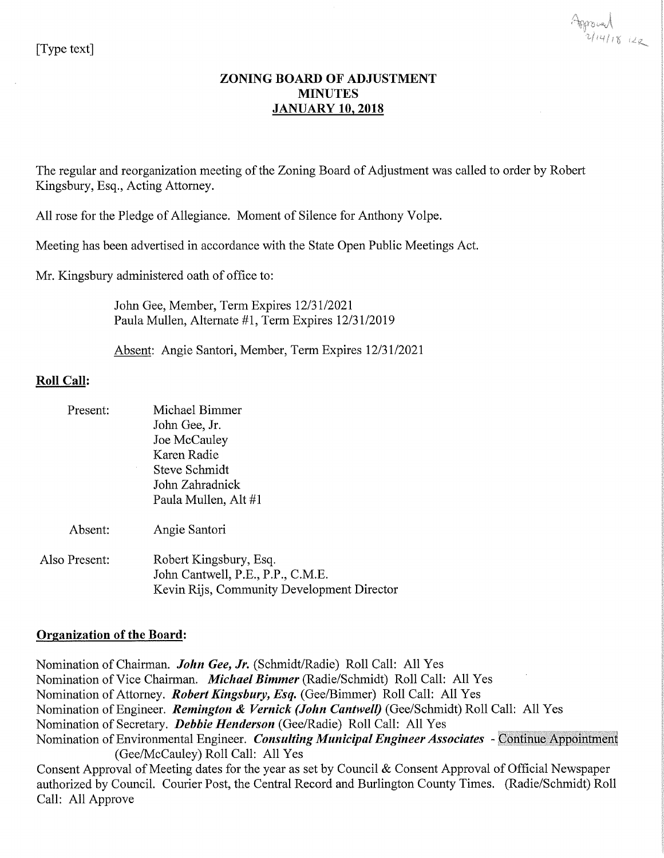### **ZONING BOARD OF ADJUSTMENT MINUTES JANUARY 10, 2018**

The regular and reorganization meeting of the Zoning Board of Adjustment was called to order by Robert Kingsbury, Esq., Acting Attorney.

All rose for the Pledge of Allegiance. Moment of Silence for Anthony Volpe.

Meeting has been advertised in accordance with the State Open Public Meetings Act.

Mr. Kingsbury administered oath of office to:

John Gee, Member, Term Expires 12/31/2021 Paula Mullen, Alternate #1, Term Expires 12/31/2019

Absent: Angie Santori, Member, Term Expires 12/31/2021

## **Roll Call:**

| Present:      | Michael Bimmer<br>John Gee, Jr.<br>Joe McCauley<br>Karen Radie<br>Steve Schmidt<br>John Zahradnick<br>Paula Mullen, Alt #1 |
|---------------|----------------------------------------------------------------------------------------------------------------------------|
| Absent:       | Angie Santori                                                                                                              |
| Also Present: | Robert Kingsbury, Esq.<br>John Cantwell, P.E., P.P., C.M.E.<br>Kevin Rijs, Community Development Director                  |

### **Organization of the Board:**

Nomination of Chairman. John Gee, Jr. (Schmidt/Radie) Roll Call: All Yes Nomination of Vice Chairman. Michael Bimmer (Radie/Schmidt) Roll Call: All Yes Nomination of Attorney. Robert Kingsbury, Esq. (Gee/Bimmer) Roll Call: All Yes Nomination of Engineer. Remington & Vernick (John Cantwell) (Gee/Schmidt) Roll Call: All Yes Nomination of Secretary. Debbie Henderson (Gee/Radie) Roll Call: All Yes Nomination of Environmental Engineer. Consulting Municipal Engineer Associates - Continue Appointment (Gee/McCauley) Roll Call: All Yes Consent Approval of Meeting dates for the year as set by Council & Consent Approval of Official Newspaper authorized by Council. Courier Post, the Central Record and Burlington County Times. (Radie/Schmidt) Roll Call: All Approve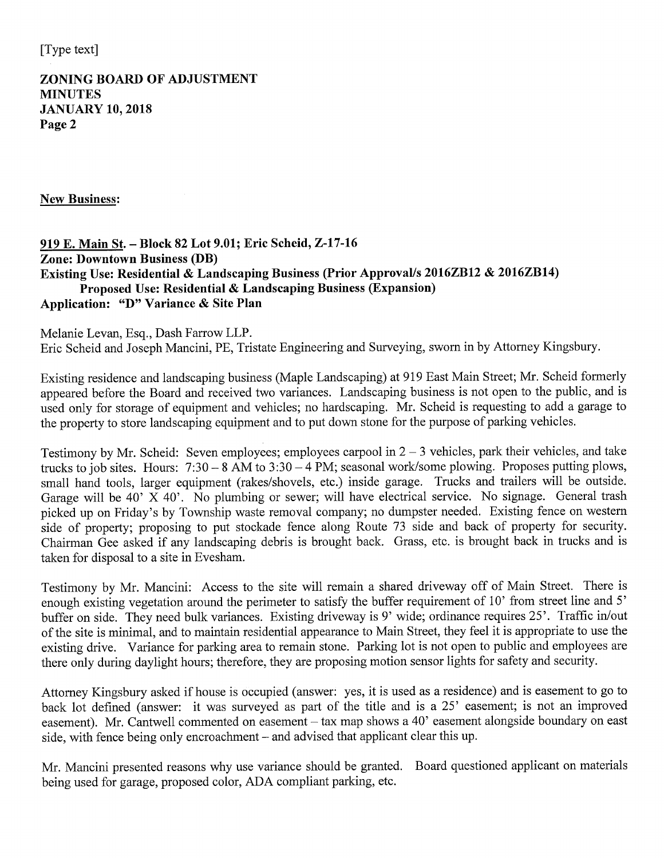## **ZONING BOARD OF ADJUSTMENT MINUTES JANUARY 10, 2018** Page 2

**New Business:** 

## 919 E. Main St. - Block 82 Lot 9.01; Eric Scheid, Z-17-16 **Zone: Downtown Business (DB)** Existing Use: Residential & Landscaping Business (Prior Approval/s 2016ZB12 & 2016ZB14) Proposed Use: Residential  $\&$  Landscaping Business (Expansion) Application: "D" Variance & Site Plan

Melanie Levan, Esq., Dash Farrow LLP. Eric Scheid and Joseph Mancini, PE, Tristate Engineering and Surveying, sworn in by Attorney Kingsbury.

Existing residence and landscaping business (Maple Landscaping) at 919 East Main Street; Mr. Scheid formerly appeared before the Board and received two variances. Landscaping business is not open to the public, and is used only for storage of equipment and vehicles; no hardscaping. Mr. Scheid is requesting to add a garage to the property to store landscaping equipment and to put down stone for the purpose of parking vehicles.

Testimony by Mr. Scheid: Seven employees; employees carpool in  $2 - 3$  vehicles, park their vehicles, and take trucks to job sites. Hours:  $7:30 - 8$  AM to  $3:30 - 4$  PM; seasonal work/some plowing. Proposes putting plows, small hand tools, larger equipment (rakes/shovels, etc.) inside garage. Trucks and trailers will be outside. Garage will be 40' X 40'. No plumbing or sewer; will have electrical service. No signage. General trash picked up on Friday's by Township waste removal company; no dumpster needed. Existing fence on western side of property; proposing to put stockade fence along Route 73 side and back of property for security. Chairman Gee asked if any landscaping debris is brought back. Grass, etc. is brought back in trucks and is taken for disposal to a site in Evesham.

Testimony by Mr. Mancini: Access to the site will remain a shared driveway off of Main Street. There is enough existing vegetation around the perimeter to satisfy the buffer requirement of 10' from street line and 5' buffer on side. They need bulk variances. Existing driveway is 9' wide; ordinance requires 25'. Traffic in/out of the site is minimal, and to maintain residential appearance to Main Street, they feel it is appropriate to use the existing drive. Variance for parking area to remain stone. Parking lot is not open to public and employees are there only during daylight hours; therefore, they are proposing motion sensor lights for safety and security.

Attorney Kingsbury asked if house is occupied (answer: yes, it is used as a residence) and is easement to go to back lot defined (answer: it was surveyed as part of the title and is a 25' easement; is not an improved easement). Mr. Cantwell commented on easement – tax map shows a 40' easement alongside boundary on east side, with fence being only encroachment - and advised that applicant clear this up.

Mr. Mancini presented reasons why use variance should be granted. Board questioned applicant on materials being used for garage, proposed color, ADA compliant parking, etc.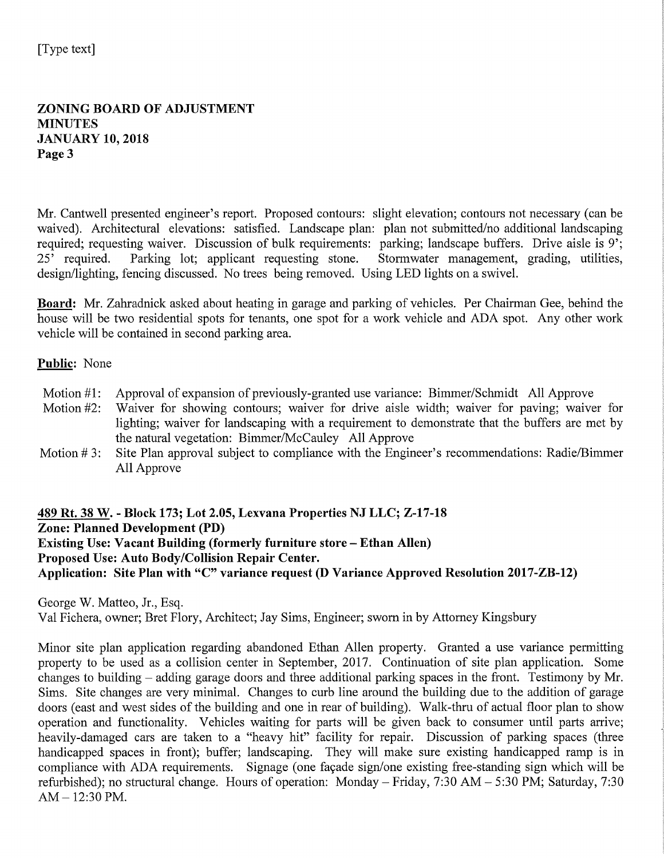**ZONING BOARD OF ADJUSTMENT MINUTES JANUARY 10, 2018** Page 3

Mr. Cantwell presented engineer's report. Proposed contours: slight elevation; contours not necessary (can be waived). Architectural elevations: satisfied. Landscape plan: plan not submitted/no additional landscaping required; requesting waiver. Discussion of bulk requirements: parking; landscape buffers. Drive aisle is 9';  $25'$  required. Parking lot; applicant requesting stone. Stormwater management, grading, utilities, design/lighting, fencing discussed. No trees being removed. Using LED lights on a swivel.

Board: Mr. Zahradnick asked about heating in garage and parking of vehicles. Per Chairman Gee, behind the house will be two residential spots for tenants, one spot for a work vehicle and ADA spot. Any other work vehicle will be contained in second parking area.

### Public: None

- Motion  $#1$ : Approval of expansion of previously-granted use variance: Bimmer/Schmidt All Approve
- Motion  $#2$ : Waiver for showing contours; waiver for drive aisle width; waiver for paving; waiver for lighting; waiver for landscaping with a requirement to demonstrate that the buffers are met by the natural vegetation: Bimmer/McCauley All Approve
- Site Plan approval subject to compliance with the Engineer's recommendations: Radie/Bimmer Motion  $#3$ : All Approve

489 Rt. 38 W. - Block 173; Lot 2.05, Lexvana Properties NJ LLC; Z-17-18 **Zone: Planned Development (PD) Existing Use: Vacant Building (formerly furniture store – Ethan Allen)** Proposed Use: Auto Body/Collision Repair Center. Application: Site Plan with "C" variance request (D Variance Approved Resolution 2017-ZB-12)

George W. Matteo, Jr., Esq.

Val Fichera, owner; Bret Flory, Architect; Jay Sims, Engineer; sworn in by Attorney Kingsbury

Minor site plan application regarding abandoned Ethan Allen property. Granted a use variance permitting property to be used as a collision center in September, 2017. Continuation of site plan application. Some changes to building  $-$  adding garage doors and three additional parking spaces in the front. Testimony by Mr. Sims. Site changes are very minimal. Changes to curb line around the building due to the addition of garage doors (east and west sides of the building and one in rear of building). Walk-thru of actual floor plan to show operation and functionality. Vehicles waiting for parts will be given back to consumer until parts arrive; heavily-damaged cars are taken to a "heavy hit" facility for repair. Discussion of parking spaces (three handicapped spaces in front); buffer; landscaping. They will make sure existing handicapped ramp is in compliance with ADA requirements. Signage (one facade sign/one existing free-standing sign which will be refurbished); no structural change. Hours of operation: Monday – Friday, 7:30 AM – 5:30 PM; Saturday, 7:30  $AM - 12:30 PM.$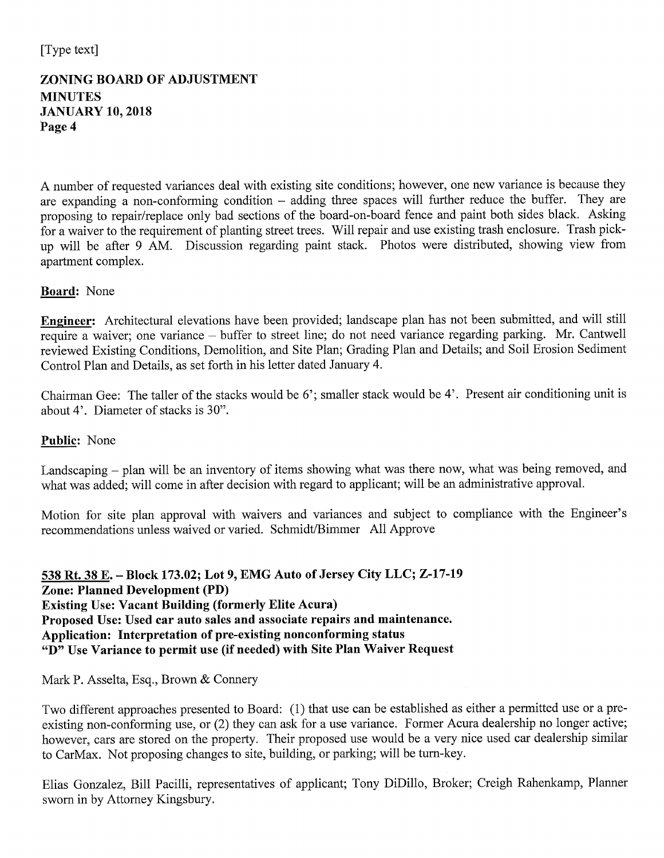# **ZONING BOARD OF ADJUSTMENT MINUTES JANUARY 10, 2018** Page 4

A number of requested variances deal with existing site conditions; however, one new variance is because they are expanding a non-conforming condition  $-$  adding three spaces will further reduce the buffer. They are proposing to repair/replace only bad sections of the board-on-board fence and paint both sides black. Asking for a waiver to the requirement of planting street trees. Will repair and use existing trash enclosure. Trash pickup will be after 9 AM. Discussion regarding paint stack. Photos were distributed, showing view from apartment complex.

# **Board:** None

Engineer: Architectural elevations have been provided; landscape plan has not been submitted, and will still require a waiver; one variance – buffer to street line; do not need variance regarding parking. Mr. Cantwell reviewed Existing Conditions, Demolition, and Site Plan; Grading Plan and Details; and Soil Erosion Sediment Control Plan and Details, as set forth in his letter dated January 4.

Chairman Gee: The taller of the stacks would be 6'; smaller stack would be 4'. Present air conditioning unit is about 4'. Diameter of stacks is 30".

## Public: None

Landscaping – plan will be an inventory of items showing what was there now, what was being removed, and what was added; will come in after decision with regard to applicant; will be an administrative approval.

Motion for site plan approval with waivers and variances and subject to compliance with the Engineer's recommendations unless waived or varied. Schmidt/Bimmer All Approve

538 Rt. 38 E. - Block 173.02; Lot 9, EMG Auto of Jersey City LLC; Z-17-19 **Zone: Planned Development (PD) Existing Use: Vacant Building (formerly Elite Acura)** Proposed Use: Used car auto sales and associate repairs and maintenance. Application: Interpretation of pre-existing nonconforming status " $\overline{D}$ " Use Variance to permit use (if needed) with Site Plan Waiver Request

Mark P. Asselta, Esq., Brown & Connery

Two different approaches presented to Board: (1) that use can be established as either a permitted use or a preexisting non-conforming use, or (2) they can ask for a use variance. Former Acura dealership no longer active; however, cars are stored on the property. Their proposed use would be a very nice used car dealership similar to CarMax. Not proposing changes to site, building, or parking; will be turn-key.

Elias Gonzalez, Bill Pacilli, representatives of applicant; Tony DiDillo, Broker; Creigh Rahenkamp, Planner sworn in by Attorney Kingsbury.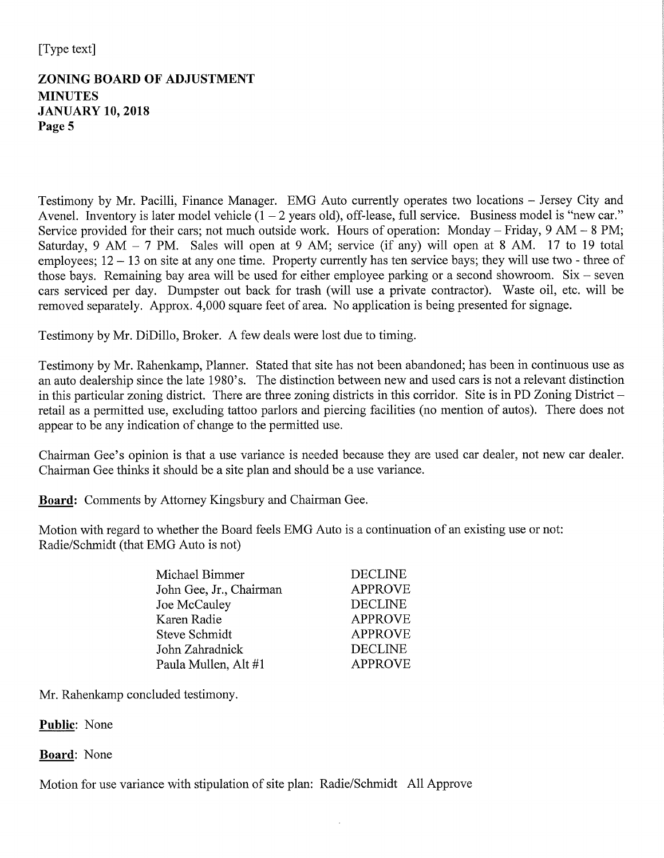# **ZONING BOARD OF ADJUSTMENT MINUTES JANUARY 10, 2018** Page 5

Testimony by Mr. Pacilli, Finance Manager. EMG Auto currently operates two locations – Jersey City and Avenel. Inventory is later model vehicle  $(1 – 2$  years old), off-lease, full service. Business model is "new car." Service provided for their cars; not much outside work. Hours of operation: Monday – Friday,  $9 AM - 8 PM$ ; Saturday, 9 AM  $-$  7 PM. Sales will open at 9 AM; service (if any) will open at 8 AM. 17 to 19 total employees;  $12 - 13$  on site at any one time. Property currently has ten service bays; they will use two - three of those bays. Remaining bay area will be used for either employee parking or a second showroom.  $Six - seven$ cars serviced per day. Dumpster out back for trash (will use a private contractor). Waste oil, etc. will be removed separately. Approx. 4,000 square feet of area. No application is being presented for signage.

Testimony by Mr. DiDillo, Broker. A few deals were lost due to timing.

Testimony by Mr. Rahenkamp, Planner. Stated that site has not been abandoned; has been in continuous use as an auto dealership since the late 1980's. The distinction between new and used cars is not a relevant distinction in this particular zoning district. There are three zoning districts in this corridor. Site is in PD Zoning District  $$ retail as a permitted use, excluding tattoo parlors and piercing facilities (no mention of autos). There does not appear to be any indication of change to the permitted use.

Chairman Gee's opinion is that a use variance is needed because they are used car dealer, not new car dealer. Chairman Gee thinks it should be a site plan and should be a use variance.

Board: Comments by Attorney Kingsbury and Chairman Gee.

Motion with regard to whether the Board feels EMG Auto is a continuation of an existing use or not: Radie/Schmidt (that EMG Auto is not)

| Michael Bimmer          | <b>DECLINE</b> |
|-------------------------|----------------|
| John Gee, Jr., Chairman | <b>APPROVE</b> |
| Joe McCauley            | <b>DECLINE</b> |
| Karen Radie             | <b>APPROVE</b> |
| Steve Schmidt           | <b>APPROVE</b> |
| John Zahradnick         | <b>DECLINE</b> |
| Paula Mullen, Alt #1    | <b>APPROVE</b> |

Mr. Rahenkamp concluded testimony.

## Public: None

## **Board:** None

Motion for use variance with stipulation of site plan: Radie/Schmidt All Approve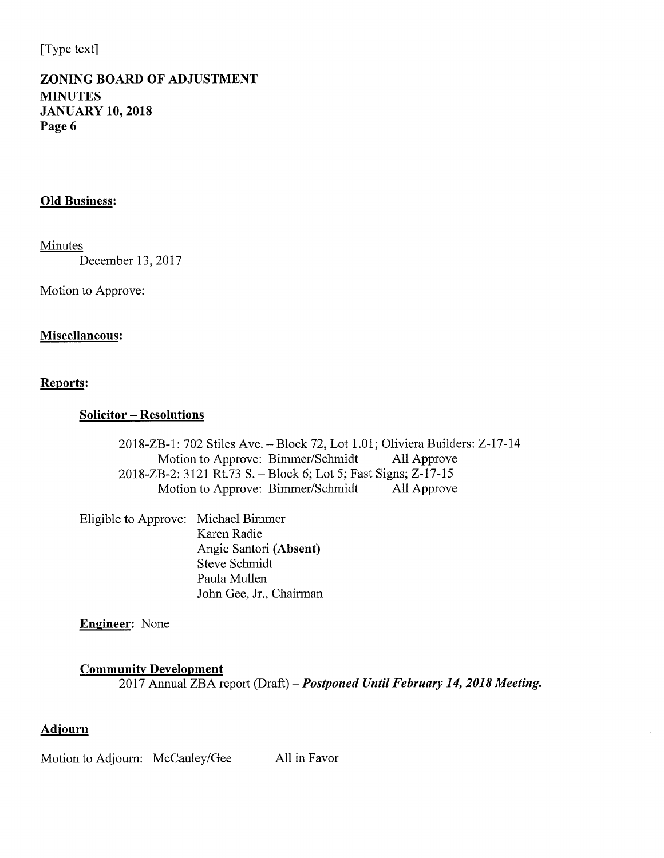# **ZONING BOARD OF ADJUSTMENT MINUTES JANUARY 10, 2018** Page 6

### **Old Business:**

Minutes

December 13, 2017

Motion to Approve:

### Miscellaneous:

### Reports:

### **Solicitor - Resolutions**

2018-ZB-1: 702 Stiles Ave. - Block 72, Lot 1.01; Oliviera Builders: Z-17-14 Motion to Approve: Bimmer/Schmidt All Approve 2018-ZB-2: 3121 Rt.73 S. - Block 6; Lot 5; Fast Signs; Z-17-15 Motion to Approve: Bimmer/Schmidt All Approve

Eligible to Approve: Michael Bimmer Karen Radie Angie Santori (Absent) Steve Schmidt Paula Mullen John Gee, Jr., Chairman

**Engineer:** None

### **Community Development**

2017 Annual ZBA report (Draft) - Postponed Until February 14, 2018 Meeting.

## **Adjourn**

Motion to Adjourn: McCauley/Gee All in Favor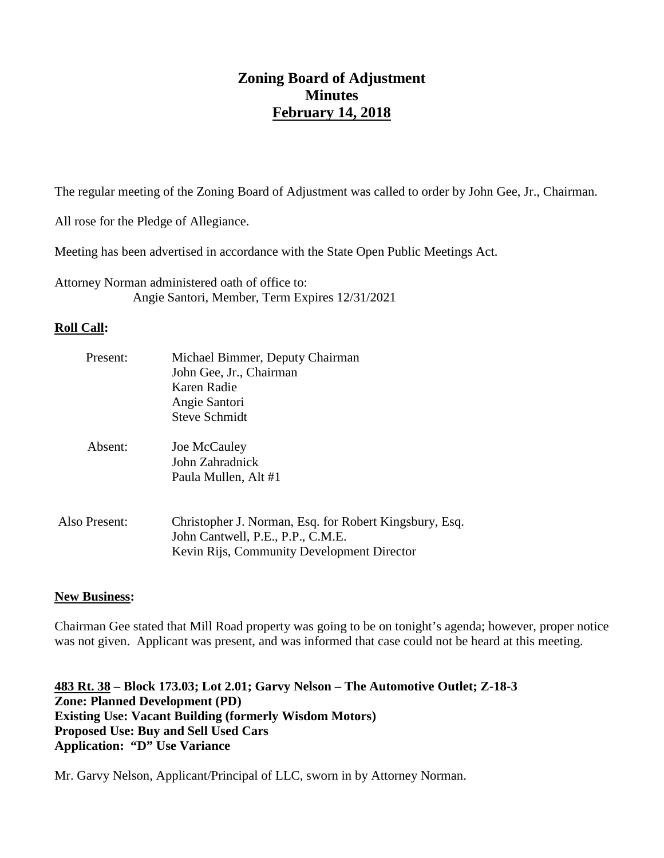# **Zoning Board of Adjustment Minutes February 14, 2018**

The regular meeting of the Zoning Board of Adjustment was called to order by John Gee, Jr., Chairman.

All rose for the Pledge of Allegiance.

Meeting has been advertised in accordance with the State Open Public Meetings Act.

Attorney Norman administered oath of office to: Angie Santori, Member, Term Expires 12/31/2021

## **Roll Call:**

| Present:      | Michael Bimmer, Deputy Chairman                                                             |
|---------------|---------------------------------------------------------------------------------------------|
|               | John Gee, Jr., Chairman                                                                     |
|               | Karen Radie                                                                                 |
|               | Angie Santori                                                                               |
|               | Steve Schmidt                                                                               |
| Absent:       | Joe McCauley                                                                                |
|               | John Zahradnick                                                                             |
|               | Paula Mullen, Alt #1                                                                        |
|               |                                                                                             |
| Also Present: | Christopher J. Norman, Esq. for Robert Kingsbury, Esq.<br>John Cantwell, P.E., P.P., C.M.E. |
|               | Kevin Rijs, Community Development Director                                                  |
|               |                                                                                             |

## **New Business:**

Chairman Gee stated that Mill Road property was going to be on tonight's agenda; however, proper notice was not given. Applicant was present, and was informed that case could not be heard at this meeting.

**483 Rt. 38 – Block 173.03; Lot 2.01; Garvy Nelson – The Automotive Outlet; Z-18-3 Zone: Planned Development (PD) Existing Use: Vacant Building (formerly Wisdom Motors) Proposed Use: Buy and Sell Used Cars Application: "D" Use Variance**

Mr. Garvy Nelson, Applicant/Principal of LLC, sworn in by Attorney Norman.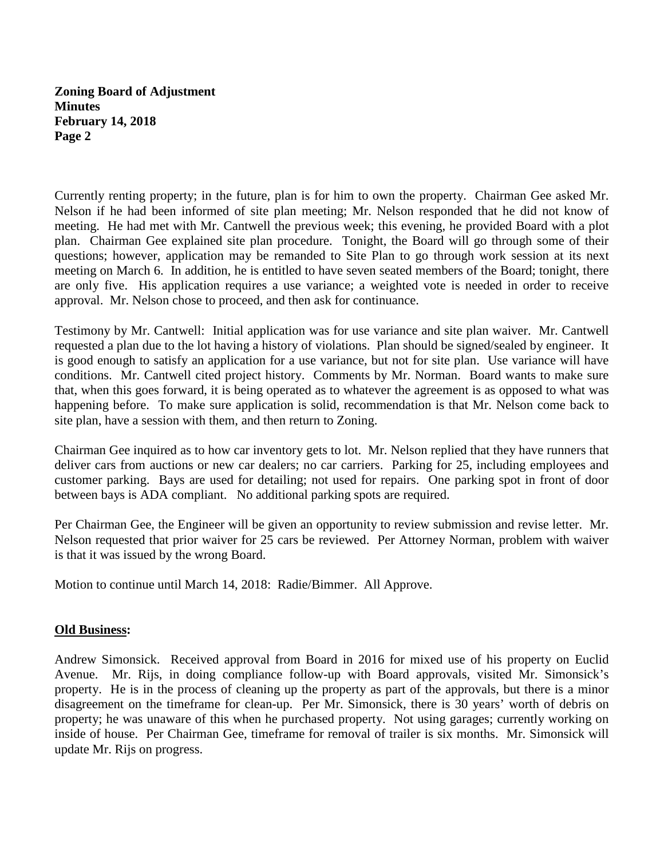Currently renting property; in the future, plan is for him to own the property. Chairman Gee asked Mr. Nelson if he had been informed of site plan meeting; Mr. Nelson responded that he did not know of meeting. He had met with Mr. Cantwell the previous week; this evening, he provided Board with a plot plan. Chairman Gee explained site plan procedure. Tonight, the Board will go through some of their questions; however, application may be remanded to Site Plan to go through work session at its next meeting on March 6. In addition, he is entitled to have seven seated members of the Board; tonight, there are only five. His application requires a use variance; a weighted vote is needed in order to receive approval. Mr. Nelson chose to proceed, and then ask for continuance.

Testimony by Mr. Cantwell: Initial application was for use variance and site plan waiver. Mr. Cantwell requested a plan due to the lot having a history of violations. Plan should be signed/sealed by engineer. It is good enough to satisfy an application for a use variance, but not for site plan. Use variance will have conditions. Mr. Cantwell cited project history. Comments by Mr. Norman. Board wants to make sure that, when this goes forward, it is being operated as to whatever the agreement is as opposed to what was happening before. To make sure application is solid, recommendation is that Mr. Nelson come back to site plan, have a session with them, and then return to Zoning.

Chairman Gee inquired as to how car inventory gets to lot. Mr. Nelson replied that they have runners that deliver cars from auctions or new car dealers; no car carriers. Parking for 25, including employees and customer parking. Bays are used for detailing; not used for repairs. One parking spot in front of door between bays is ADA compliant. No additional parking spots are required.

Per Chairman Gee, the Engineer will be given an opportunity to review submission and revise letter. Mr. Nelson requested that prior waiver for 25 cars be reviewed. Per Attorney Norman, problem with waiver is that it was issued by the wrong Board.

Motion to continue until March 14, 2018: Radie/Bimmer. All Approve.

### **Old Business:**

Andrew Simonsick. Received approval from Board in 2016 for mixed use of his property on Euclid Avenue. Mr. Rijs, in doing compliance follow-up with Board approvals, visited Mr. Simonsick's property. He is in the process of cleaning up the property as part of the approvals, but there is a minor disagreement on the timeframe for clean-up. Per Mr. Simonsick, there is 30 years' worth of debris on property; he was unaware of this when he purchased property. Not using garages; currently working on inside of house. Per Chairman Gee, timeframe for removal of trailer is six months. Mr. Simonsick will update Mr. Rijs on progress.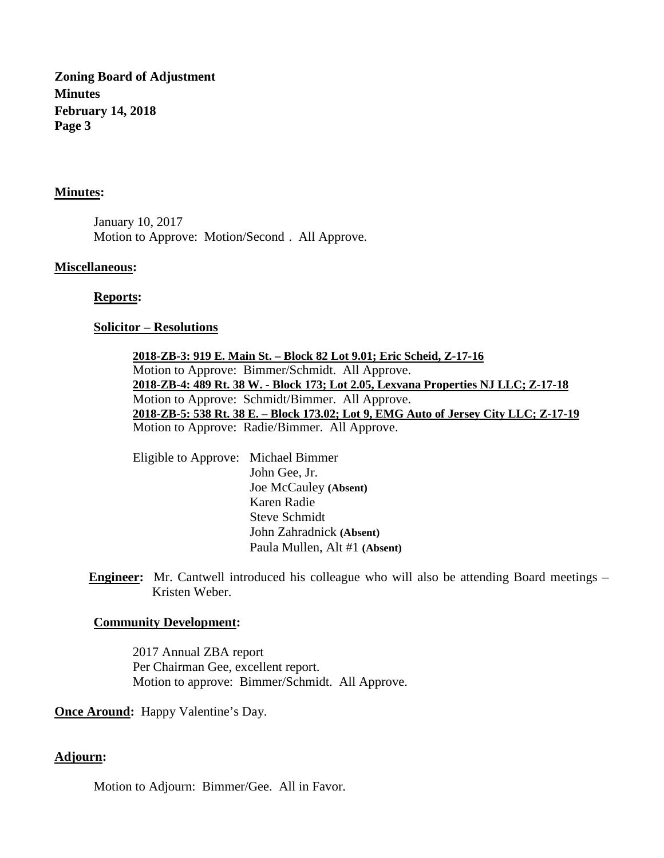#### **Minutes:**

January 10, 2017 Motion to Approve: Motion/Second . All Approve.

#### **Miscellaneous:**

#### **Reports:**

#### **Solicitor – Resolutions**

Motion to Approve: Bimmer/Schmidt. All Approve. **2018-ZB-3: 919 E. Main St. – Block 82 Lot 9.01; Eric Scheid, Z-17-16** Motion to Approve: Schmidt/Bimmer. All Approve. **2018-ZB-4: 489 Rt. 38 W. - Block 173; Lot 2.05, Lexvana Properties NJ LLC; Z-17-18** Motion to Approve: Radie/Bimmer. All Approve. **2018-ZB-5: 538 Rt. 38 E. – Block 173.02; Lot 9, EMG Auto of Jersey City LLC; Z-17-19**

Eligible to Approve: Michael Bimmer John Gee, Jr. Joe McCauley **(Absent)** Karen Radie Steve Schmidt John Zahradnick **(Absent)** Paula Mullen, Alt #1 **(Absent)**

**Engineer:** Mr. Cantwell introduced his colleague who will also be attending Board meetings – Kristen Weber.

#### **Community Development:**

2017 Annual ZBA report Per Chairman Gee, excellent report. Motion to approve: Bimmer/Schmidt. All Approve.

**Once Around:** Happy Valentine's Day.

### **Adjourn:**

Motion to Adjourn: Bimmer/Gee. All in Favor.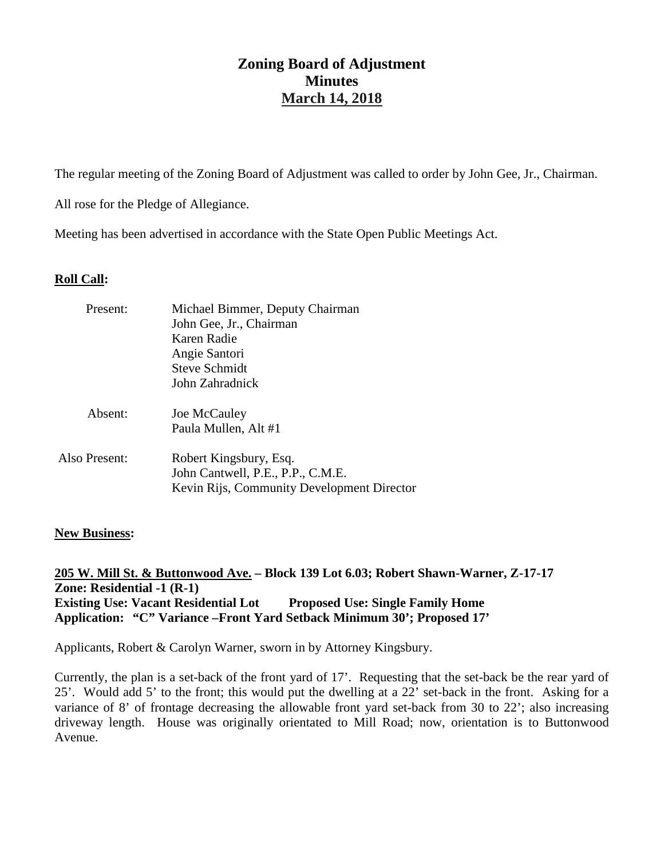The regular meeting of the Zoning Board of Adjustment was called to order by John Gee, Jr., Chairman.

All rose for the Pledge of Allegiance.

Meeting has been advertised in accordance with the State Open Public Meetings Act.

### **Roll Call:**

| Present:      | Michael Bimmer, Deputy Chairman<br>John Gee, Jr., Chairman<br>Karen Radie<br>Angie Santori<br><b>Steve Schmidt</b><br>John Zahradnick |
|---------------|---------------------------------------------------------------------------------------------------------------------------------------|
| Absent:       | Joe McCauley<br>Paula Mullen, Alt #1                                                                                                  |
| Also Present: | Robert Kingsbury, Esq.<br>John Cantwell, P.E., P.P., C.M.E.<br>Kevin Rijs, Community Development Director                             |

### **New Business:**

**205 W. Mill St. & Buttonwood Ave. – Block 139 Lot 6.03; Robert Shawn-Warner, Z-17-17 Zone: Residential -1 (R-1) Existing Use: Vacant Residential Lot Proposed Use: Single Family Home Application: "C" Variance –Front Yard Setback Minimum 30'; Proposed 17'**

Applicants, Robert & Carolyn Warner, sworn in by Attorney Kingsbury.

Currently, the plan is a set-back of the front yard of 17'. Requesting that the set-back be the rear yard of 25'. Would add 5' to the front; this would put the dwelling at a 22' set-back in the front. Asking for a variance of 8' of frontage decreasing the allowable front yard set-back from 30 to 22'; also increasing driveway length. House was originally orientated to Mill Road; now, orientation is to Buttonwood Avenue.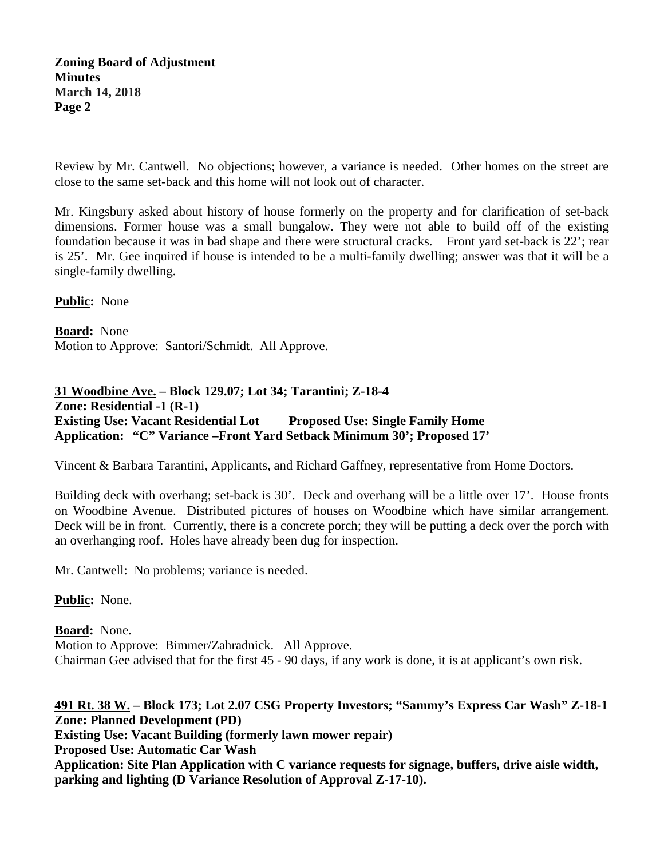Review by Mr. Cantwell. No objections; however, a variance is needed. Other homes on the street are close to the same set-back and this home will not look out of character.

Mr. Kingsbury asked about history of house formerly on the property and for clarification of set-back dimensions. Former house was a small bungalow. They were not able to build off of the existing foundation because it was in bad shape and there were structural cracks. Front yard set-back is 22'; rear is 25'. Mr. Gee inquired if house is intended to be a multi-family dwelling; answer was that it will be a single-family dwelling.

**Public:** None

**Board :** None Motion to Approve: Santori/Schmidt. All Approve.

**31 Woodbine Ave. – Block 129.07; Lot 34; Tarantini; Z-18-4 Zone: Residential -1 (R-1) Existing Use: Vacant Residential Lot Proposed Use: Single Family Home Application: "C" Variance –Front Yard Setback Minimum 30'; Proposed 17'**

Vincent & Barbara Tarantini, Applicants, and Richard Gaffney, representative from Home Doctors.

Building deck with overhang; set-back is 30'. Deck and overhang will be a little over 17'. House fronts on Woodbine Avenue. Distributed pictures of houses on Woodbine which have similar arrangement. Deck will be in front. Currently, there is a concrete porch; they will be putting a deck over the porch with an overhanging roof. Holes have already been dug for inspection.

Mr. Cantwell: No problems; variance is needed.

**Public:** None.

**Board :** None. Motion to Approve: Bimmer/Zahradnick. All Approve. Chairman Gee advised that for the first 45 - 90 days, if any work is done, it is at applicant's own risk.

**491 Rt. 38 W. – Block 173; Lot 2.07 CSG Property Investors; "Sammy's Express Car Wash" Z-18-1 Zone: Planned Development (PD) Existing Use: Vacant Building (formerly lawn mower repair) Proposed Use: Automatic Car Wash Application: Site Plan Application with C variance requests for signage, buffers, drive aisle width, parking and lighting (D Variance Resolution of Approval Z-17-10).**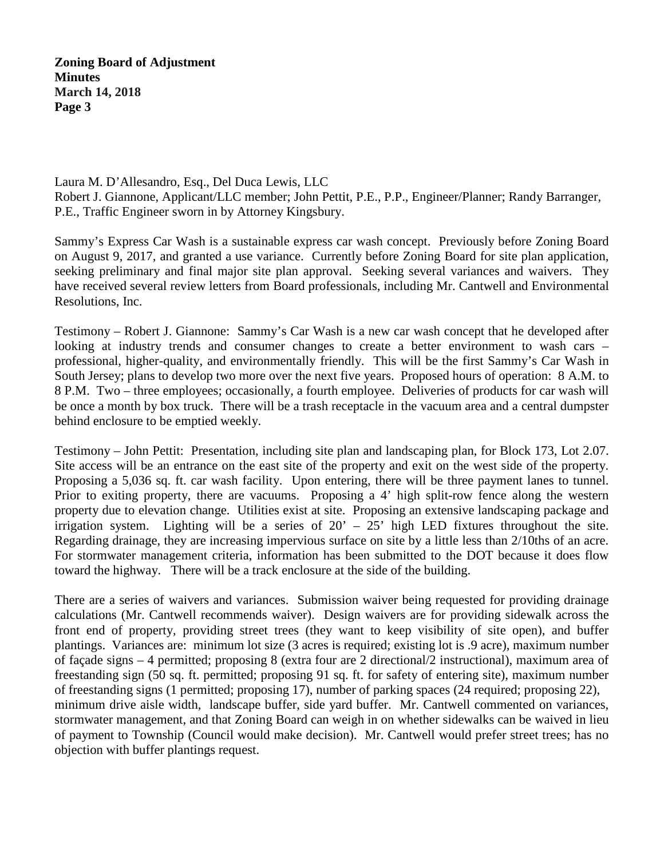Laura M. D'Allesandro, Esq., Del Duca Lewis, LLC Robert J. Giannone, Applicant/LLC member; John Pettit, P.E., P.P., Engineer/Planner; Randy Barranger, P.E., Traffic Engineer sworn in by Attorney Kingsbury.

Sammy's Express Car Wash is a sustainable express car wash concept. Previously before Zoning Board on August 9, 2017, and granted a use variance. Currently before Zoning Board for site plan application, seeking preliminary and final major site plan approval. Seeking several variances and waivers. They have received several review letters from Board professionals, including Mr. Cantwell and Environmental Resolutions, Inc.

Testimony – Robert J. Giannone: Sammy's Car Wash is a new car wash concept that he developed after looking at industry trends and consumer changes to create a better environment to wash cars – professional, higher-quality, and environmentally friendly. This will be the first Sammy's Car Wash in South Jersey; plans to develop two more over the next five years. Proposed hours of operation: 8 A.M. to 8 P.M. Two – three employees; occasionally, a fourth employee. Deliveries of products for car wash will be once a month by box truck. There will be a trash receptacle in the vacuum area and a central dumpster behind enclosure to be emptied weekly.

Testimony – John Pettit: Presentation, including site plan and landscaping plan, for Block 173, Lot 2.07. Site access will be an entrance on the east site of the property and exit on the west side of the property. Proposing a 5,036 sq. ft. car wash facility. Upon entering, there will be three payment lanes to tunnel. Prior to exiting property, there are vacuums. Proposing a 4' high split-row fence along the western property due to elevation change. Utilities exist at site. Proposing an extensive landscaping package and irrigation system. Lighting will be a series of  $20' - 25'$  high LED fixtures throughout the site. Regarding drainage, they are increasing impervious surface on site by a little less than 2/10ths of an acre. For stormwater management criteria, information has been submitted to the DOT because it does flow toward the highway. There will be a track enclosure at the side of the building.

There are a series of waivers and variances. Submission waiver being requested for providing drainage calculations (Mr. Cantwell recommends waiver). Design waivers are for providing sidewalk across the front end of property, providing street trees (they want to keep visibility of site open), and buffer plantings. Variances are: minimum lot size (3 acres is required; existing lot is .9 acre), maximum number of façade signs – 4 permitted; proposing 8 (extra four are 2 directional/2 instructional), maximum area of freestanding sign (50 sq. ft. permitted; proposing 91 sq. ft. for safety of entering site), maximum number of freestanding signs (1 permitted; proposing 17), number of parking spaces (24 required; proposing 22), minimum drive aisle width, landscape buffer, side yard buffer. Mr. Cantwell commented on variances, stormwater management, and that Zoning Board can weigh in on whether sidewalks can be waived in lieu of payment to Township (Council would make decision). Mr. Cantwell would prefer street trees; has no objection with buffer plantings request.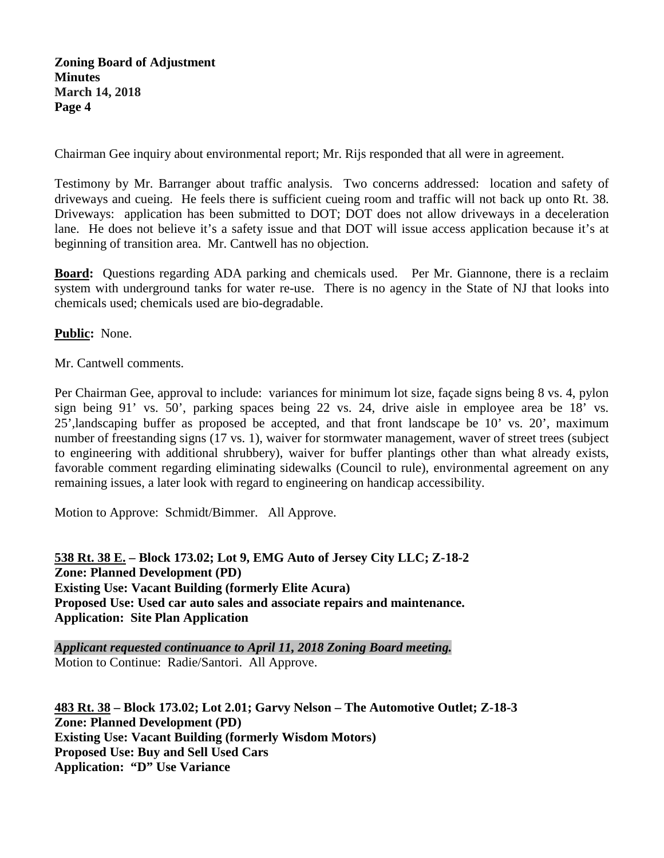Chairman Gee inquiry about environmental report; Mr. Rijs responded that all were in agreement.

Testimony by Mr. Barranger about traffic analysis. Two concerns addressed: location and safety of driveways and cueing. He feels there is sufficient cueing room and traffic will not back up onto Rt. 38. Driveways: application has been submitted to DOT; DOT does not allow driveways in a deceleration lane. He does not believe it's a safety issue and that DOT will issue access application because it's at beginning of transition area. Mr. Cantwell has no objection.

**Board:** Questions regarding ADA parking and chemicals used. Per Mr. Giannone, there is a reclaim system with underground tanks for water re-use. There is no agency in the State of NJ that looks into chemicals used; chemicals used are bio-degradable.

**Public:** None.

Mr. Cantwell comments.

Per Chairman Gee, approval to include: variances for minimum lot size, façade signs being 8 vs. 4, pylon sign being 91' vs. 50', parking spaces being 22 vs. 24, drive aisle in employee area be 18' vs. 25',landscaping buffer as proposed be accepted, and that front landscape be 10' vs. 20', maximum number of freestanding signs (17 vs. 1), waiver for stormwater management, waver of street trees (subject to engineering with additional shrubbery), waiver for buffer plantings other than what already exists, favorable comment regarding eliminating sidewalks (Council to rule), environmental agreement on any remaining issues, a later look with regard to engineering on handicap accessibility.

Motion to Approve: Schmidt/Bimmer. All Approve.

**538 Rt. 38 E. – Block 173.02; Lot 9, EMG Auto of Jersey City LLC; Z-18-2 Zone: Planned Development (PD) Existing Use: Vacant Building (formerly Elite Acura) Proposed Use: Used car auto sales and associate repairs and maintenance. Application: Site Plan Application**

*Applicant requested continuance to April 11, 2018 Zoning Board meeting.* Motion to Continue: Radie/Santori. All Approve.

**483 Rt. 38 – Block 173.02; Lot 2.01; Garvy Nelson – The Automotive Outlet; Z-18-3 Zone: Planned Development (PD) Existing Use: Vacant Building (formerly Wisdom Motors) Proposed Use: Buy and Sell Used Cars Application: "D" Use Variance**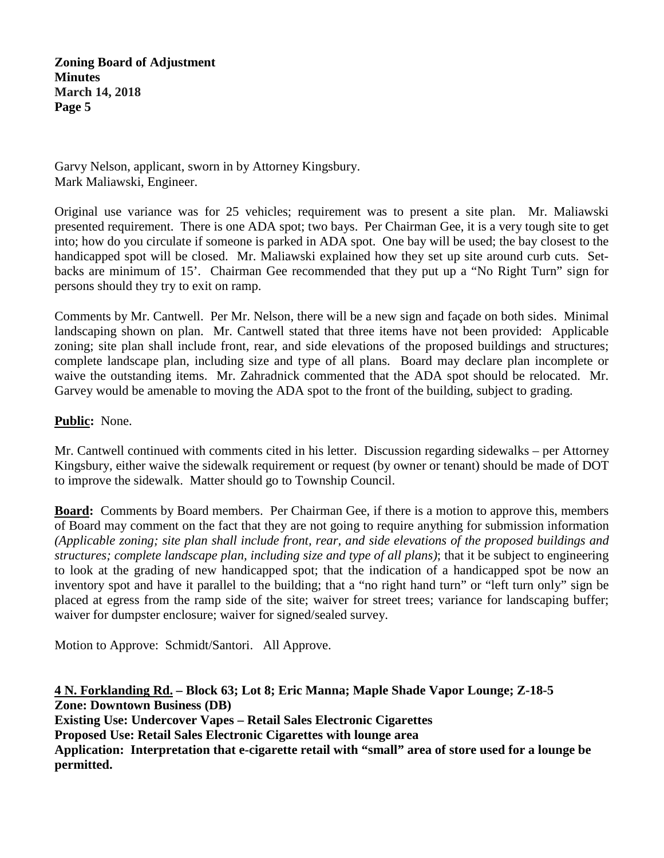Garvy Nelson, applicant, sworn in by Attorney Kingsbury. Mark Maliawski, Engineer.

Original use variance was for 25 vehicles; requirement was to present a site plan. Mr. Maliawski presented requirement. There is one ADA spot; two bays. Per Chairman Gee, it is a very tough site to get into; how do you circulate if someone is parked in ADA spot. One bay will be used; the bay closest to the handicapped spot will be closed. Mr. Maliawski explained how they set up site around curb cuts. Setbacks are minimum of 15'. Chairman Gee recommended that they put up a "No Right Turn" sign for persons should they try to exit on ramp.

Comments by Mr. Cantwell. Per Mr. Nelson, there will be a new sign and façade on both sides. Minimal landscaping shown on plan. Mr. Cantwell stated that three items have not been provided: Applicable zoning; site plan shall include front, rear, and side elevations of the proposed buildings and structures; complete landscape plan, including size and type of all plans. Board may declare plan incomplete or waive the outstanding items. Mr. Zahradnick commented that the ADA spot should be relocated. Mr. Garvey would be amenable to moving the ADA spot to the front of the building, subject to grading.

### **Public:** None.

Mr. Cantwell continued with comments cited in his letter. Discussion regarding sidewalks – per Attorney Kingsbury, either waive the sidewalk requirement or request (by owner or tenant) should be made of DOT to improve the sidewalk. Matter should go to Township Council.

**Board:** Comments by Board members. Per Chairman Gee, if there is a motion to approve this, members of Board may comment on the fact that they are not going to require anything for submission information *(Applicable zoning; site plan shall include front, rear, and side elevations of the proposed buildings and structures; complete landscape plan, including size and type of all plans)*; that it be subject to engineering to look at the grading of new handicapped spot; that the indication of a handicapped spot be now an inventory spot and have it parallel to the building; that a "no right hand turn" or "left turn only" sign be placed at egress from the ramp side of the site; waiver for street trees; variance for landscaping buffer; waiver for dumpster enclosure; waiver for signed/sealed survey.

Motion to Approve: Schmidt/Santori. All Approve.

**4 N. Forklanding Rd. – Block 63; Lot 8; Eric Manna; Maple Shade Vapor Lounge; Z-18-5 Zone: Downtown Business (DB) Existing Use: Undercover Vapes – Retail Sales Electronic Cigarettes Proposed Use: Retail Sales Electronic Cigarettes with lounge area Application: Interpretation that e-cigarette retail with "small" area of store used for a lounge be permitted.**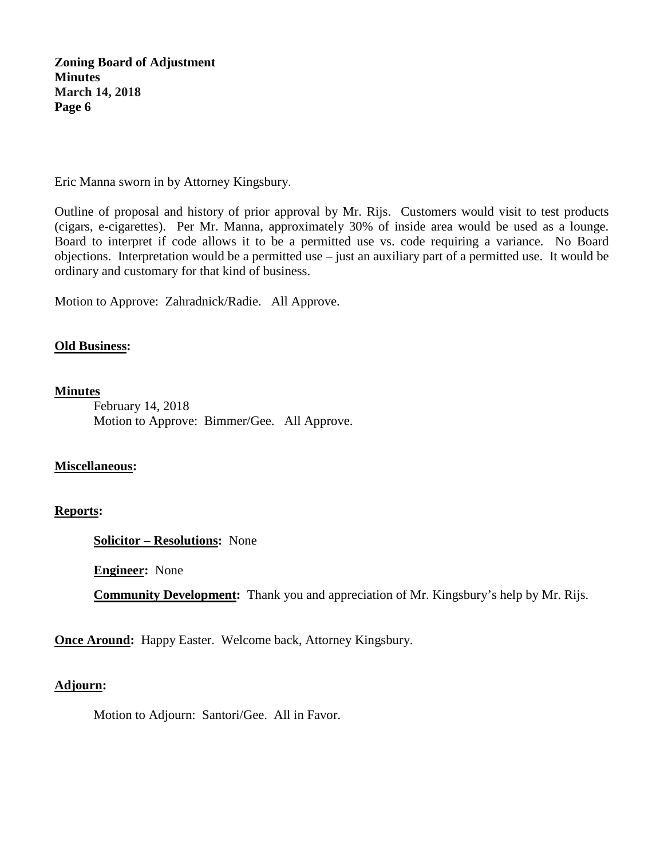Eric Manna sworn in by Attorney Kingsbury.

Outline of proposal and history of prior approval by Mr. Rijs. Customers would visit to test products (cigars, e-cigarettes). Per Mr. Manna, approximately 30% of inside area would be used as a lounge. Board to interpret if code allows it to be a permitted use vs. code requiring a variance. No Board objections. Interpretation would be a permitted use – just an auxiliary part of a permitted use. It would be ordinary and customary for that kind of business.

Motion to Approve: Zahradnick/Radie. All Approve.

#### **Old Business:**

**Minutes**

February 14, 2018 Motion to Approve: Bimmer/Gee. All Approve.

#### **Miscellaneous:**

#### **Reports:**

**Solicitor – Resolutions:** None

**Engineer:** None

**Community Development:** Thank you and appreciation of Mr. Kingsbury's help by Mr. Rijs.

**Once Around:** Happy Easter. Welcome back, Attorney Kingsbury.

### **Adjourn:**

Motion to Adjourn: Santori/Gee. All in Favor.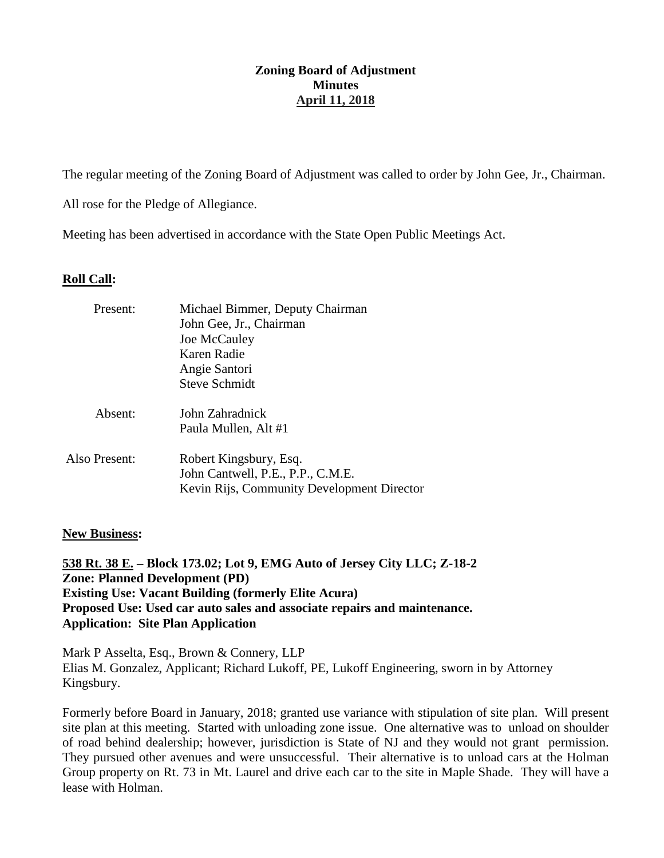### **Zoning Board of Adjustment Minutes April 11, 2018**

The regular meeting of the Zoning Board of Adjustment was called to order by John Gee, Jr., Chairman.

All rose for the Pledge of Allegiance.

Meeting has been advertised in accordance with the State Open Public Meetings Act.

### **Roll Call:**

| Present:      | Michael Bimmer, Deputy Chairman<br>John Gee, Jr., Chairman<br>Joe McCauley<br>Karen Radie<br>Angie Santori<br><b>Steve Schmidt</b> |
|---------------|------------------------------------------------------------------------------------------------------------------------------------|
| Absent:       | John Zahradnick<br>Paula Mullen, Alt #1                                                                                            |
| Also Present: | Robert Kingsbury, Esq.<br>John Cantwell, P.E., P.P., C.M.E.<br>Kevin Rijs, Community Development Director                          |

### **New Business:**

**538 Rt. 38 E. – Block 173.02; Lot 9, EMG Auto of Jersey City LLC; Z-18-2 Zone: Planned Development (PD) Existing Use: Vacant Building (formerly Elite Acura) Proposed Use: Used car auto sales and associate repairs and maintenance. Application: Site Plan Application**

Mark P Asselta, Esq., Brown & Connery, LLP Elias M. Gonzalez, Applicant; Richard Lukoff, PE, Lukoff Engineering, sworn in by Attorney Kingsbury.

Formerly before Board in January, 2018; granted use variance with stipulation of site plan. Will present site plan at this meeting. Started with unloading zone issue. One alternative was to unload on shoulder of road behind dealership; however, jurisdiction is State of NJ and they would not grant permission. They pursued other avenues and were unsuccessful. Their alternative is to unload cars at the Holman Group property on Rt. 73 in Mt. Laurel and drive each car to the site in Maple Shade. They will have a lease with Holman.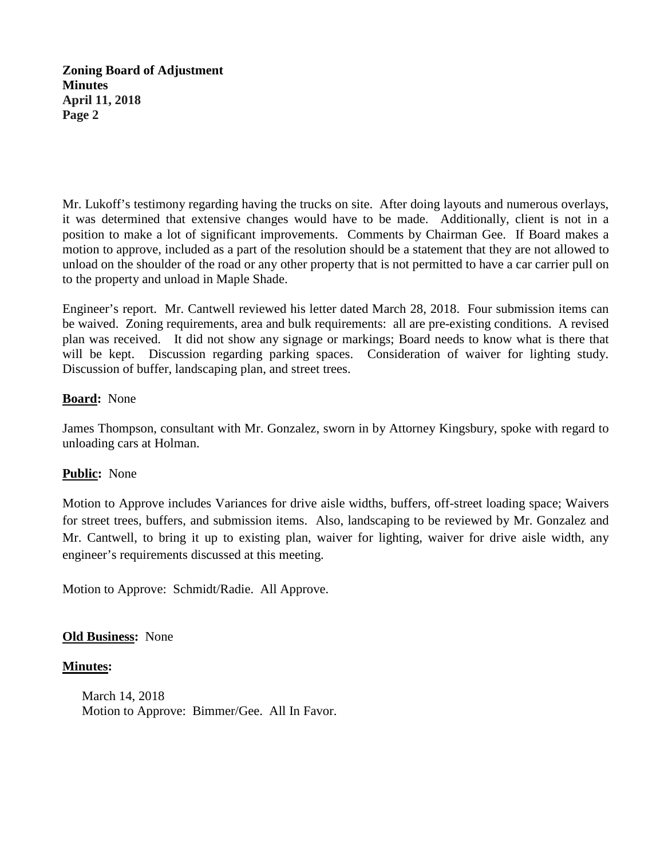Mr. Lukoff's testimony regarding having the trucks on site. After doing layouts and numerous overlays, it was determined that extensive changes would have to be made. Additionally, client is not in a position to make a lot of significant improvements. Comments by Chairman Gee. If Board makes a motion to approve, included as a part of the resolution should be a statement that they are not allowed to unload on the shoulder of the road or any other property that is not permitted to have a car carrier pull on to the property and unload in Maple Shade.

Engineer's report. Mr. Cantwell reviewed his letter dated March 28, 2018. Four submission items can be waived. Zoning requirements, area and bulk requirements: all are pre-existing conditions. A revised plan was received. It did not show any signage or markings; Board needs to know what is there that will be kept. Discussion regarding parking spaces. Consideration of waiver for lighting study. Discussion of buffer, landscaping plan, and street trees.

### **Board:** None

James Thompson, consultant with Mr. Gonzalez, sworn in by Attorney Kingsbury, spoke with regard to unloading cars at Holman.

## **Public:** None

Motion to Approve includes Variances for drive aisle widths, buffers, off-street loading space; Waivers for street trees, buffers, and submission items. Also, landscaping to be reviewed by Mr. Gonzalez and Mr. Cantwell, to bring it up to existing plan, waiver for lighting, waiver for drive aisle width, any engineer's requirements discussed at this meeting.

Motion to Approve: Schmidt/Radie. All Approve.

## **Old Business:** None

## **Minutes:**

March 14, 2018 Motion to Approve: Bimmer/Gee. All In Favor.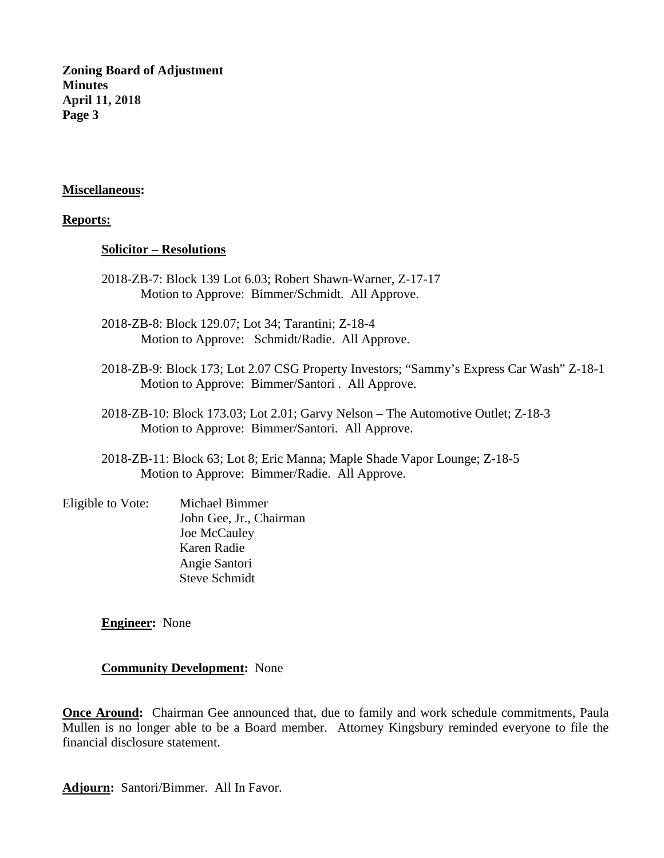#### **Miscellaneous:**

#### **Reports:**

#### **Solicitor – Resolutions**

- 2018-ZB-7: Block 139 Lot 6.03; Robert Shawn-Warner, Z-17-17 Motion to Approve: Bimmer/Schmidt. All Approve.
- 2018-ZB-8: Block 129.07; Lot 34; Tarantini; Z-18-4 Motion to Approve: Schmidt/Radie. All Approve.
- 2018-ZB-9: Block 173; Lot 2.07 CSG Property Investors; "Sammy's Express Car Wash" Z-18-1 Motion to Approve: Bimmer/Santori . All Approve.
- 2018-ZB-10: Block 173.03; Lot 2.01; Garvy Nelson The Automotive Outlet; Z-18-3 Motion to Approve: Bimmer/Santori. All Approve.
- 2018-ZB-11: Block 63; Lot 8; Eric Manna; Maple Shade Vapor Lounge; Z-18-5 Motion to Approve: Bimmer/Radie. All Approve.
- Eligible to Vote: Michael Bimmer John Gee, Jr., Chairman Joe McCauley Karen Radie Angie Santori Steve Schmidt

**Engineer:** None

#### **Community Development:** None

**Once Around:** Chairman Gee announced that, due to family and work schedule commitments, Paula Mullen is no longer able to be a Board member. Attorney Kingsbury reminded everyone to file the financial disclosure statement.

**Adjourn:** Santori/Bimmer. All In Favor.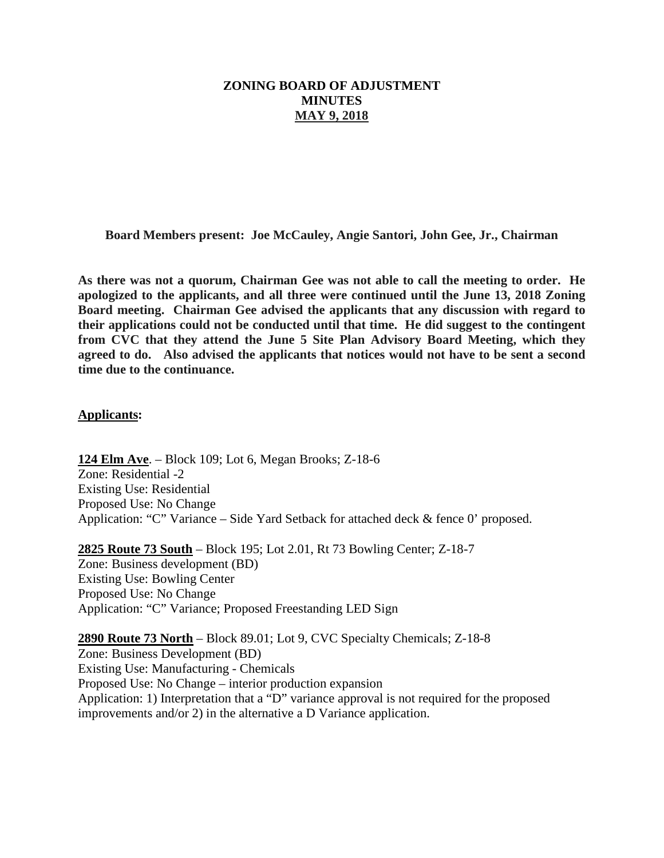### **ZONING BOARD OF ADJUSTMENT MINUTES MAY 9, 2018**

**Board Members present: Joe McCauley, Angie Santori, John Gee, Jr., Chairman**

**As there was not a quorum, Chairman Gee was not able to call the meeting to order. He apologized to the applicants, and all three were continued until the June 13, 2018 Zoning Board meeting. Chairman Gee advised the applicants that any discussion with regard to their applications could not be conducted until that time. He did suggest to the contingent from CVC that they attend the June 5 Site Plan Advisory Board Meeting, which they agreed to do. Also advised the applicants that notices would not have to be sent a second time due to the continuance.** 

#### **Applicants:**

**124 Elm Ave** . – Block 109; Lot 6, Megan Brooks; Z-18-6 Zone: Residential -2 Existing Use: Residential Proposed Use: No Change Application: "C" Variance – Side Yard Setback for attached deck & fence 0' proposed.

**2825 Route 73 South** – Block 195; Lot 2.01, Rt 73 Bowling Center; Z-18-7 Zone: Business development (BD) Existing Use: Bowling Center Proposed Use: No Change Application: "C" Variance; Proposed Freestanding LED Sign

**2890 Route 73 North** – Block 89.01; Lot 9, CVC Specialty Chemicals; Z-18-8 Zone: Business Development (BD) Existing Use: Manufacturing - Chemicals Proposed Use: No Change – interior production expansion Application: 1) Interpretation that a "D" variance approval is not required for the proposed improvements and/or 2) in the alternative a D Variance application.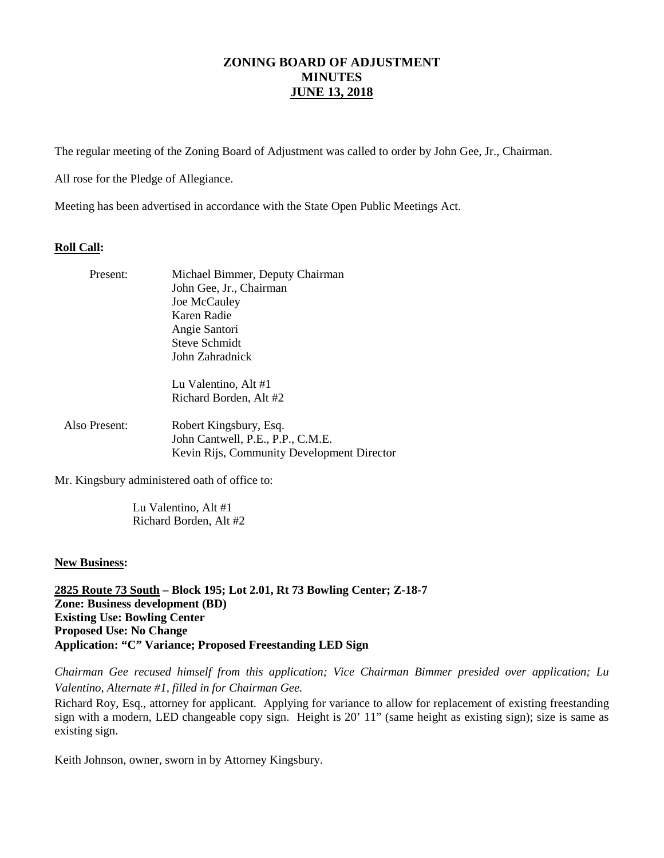The regular meeting of the Zoning Board of Adjustment was called to order by John Gee, Jr., Chairman.

All rose for the Pledge of Allegiance.

Meeting has been advertised in accordance with the State Open Public Meetings Act.

#### **Roll Call:**

| Present:      | Michael Bimmer, Deputy Chairman            |
|---------------|--------------------------------------------|
|               | John Gee, Jr., Chairman                    |
|               | Joe McCauley                               |
|               | Karen Radie                                |
|               | Angie Santori                              |
|               | Steve Schmidt                              |
|               | John Zahradnick                            |
|               | Lu Valentino, Alt #1                       |
|               | Richard Borden, Alt #2                     |
| Also Present: | Robert Kingsbury, Esq.                     |
|               | John Cantwell, P.E., P.P., C.M.E.          |
|               | Kevin Rijs, Community Development Director |

Mr. Kingsbury administered oath of office to:

Lu Valentino, Alt #1 Richard Borden, Alt #2

#### **New Business:**

**2825 Route 73 South – Block 195; Lot 2.01, Rt 73 Bowling Center; Z-18-7 Zone: Business development (BD) Existing Use: Bowling Center Proposed Use: No Change Application: "C" Variance; Proposed Freestanding LED Sign**

*Chairman Gee recused himself from this application; Vice Chairman Bimmer presided over application; Lu Valentino, Alternate #1, filled in for Chairman Gee.* 

Richard Roy, Esq., attorney for applicant. Applying for variance to allow for replacement of existing freestanding sign with a modern, LED changeable copy sign. Height is 20' 11" (same height as existing sign); size is same as existing sign.

Keith Johnson, owner, sworn in by Attorney Kingsbury.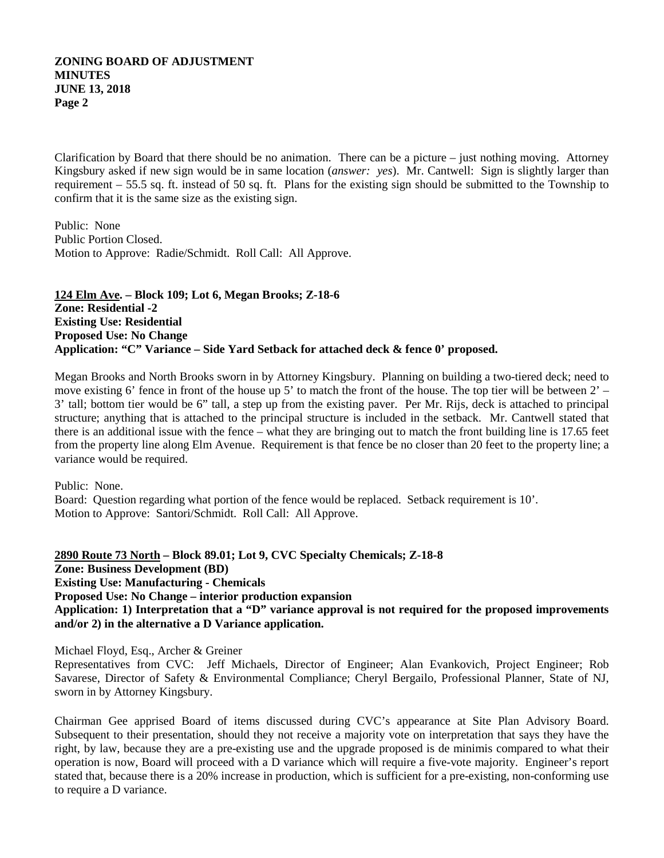Clarification by Board that there should be no animation. There can be a picture – just nothing moving. Attorney Kingsbury asked if new sign would be in same location (*answer: yes*). Mr. Cantwell: Sign is slightly larger than requirement – 55.5 sq. ft. instead of 50 sq. ft. Plans for the existing sign should be submitted to the Township to confirm that it is the same size as the existing sign.

Public: None Public Portion Closed. Motion to Approve: Radie/Schmidt. Roll Call: All Approve.

**124 Elm Ave . – Block 109; Lot 6, Megan Brooks; Z-18-6 Zone: Residential -2 Existing Use: Residential Proposed Use: No Change Application: "C" Variance – Side Yard Setback for attached deck & fence 0' proposed.**

Megan Brooks and North Brooks sworn in by Attorney Kingsbury. Planning on building a two-tiered deck; need to move existing 6' fence in front of the house up 5' to match the front of the house. The top tier will be between 2' – 3' tall; bottom tier would be 6" tall, a step up from the existing paver. Per Mr. Rijs, deck is attached to principal structure; anything that is attached to the principal structure is included in the setback. Mr. Cantwell stated that there is an additional issue with the fence – what they are bringing out to match the front building line is 17.65 feet from the property line along Elm Avenue. Requirement is that fence be no closer than 20 feet to the property line; a variance would be required.

Public: None. Board: Question regarding what portion of the fence would be replaced. Setback requirement is 10'. Motion to Approve: Santori/Schmidt. Roll Call: All Approve.

**2890 Route 73 North – Block 89.01; Lot 9, CVC Specialty Chemicals; Z-18-8 Zone: Business Development (BD) Existing Use: Manufacturing - Chemicals Proposed Use: No Change – interior production expansion Application: 1) Interpretation that a "D" variance approval is not required for the proposed improvements and/or 2) in the alternative a D Variance application.**

Michael Floyd, Esq., Archer & Greiner

Representatives from CVC: Jeff Michaels, Director of Engineer; Alan Evankovich, Project Engineer; Rob Savarese, Director of Safety & Environmental Compliance; Cheryl Bergailo, Professional Planner, State of NJ, sworn in by Attorney Kingsbury.

Chairman Gee apprised Board of items discussed during CVC's appearance at Site Plan Advisory Board. Subsequent to their presentation, should they not receive a majority vote on interpretation that says they have the right, by law, because they are a pre-existing use and the upgrade proposed is de minimis compared to what their operation is now, Board will proceed with a D variance which will require a five-vote majority. Engineer's report stated that, because there is a 20% increase in production, which is sufficient for a pre-existing, non-conforming use to require a D variance.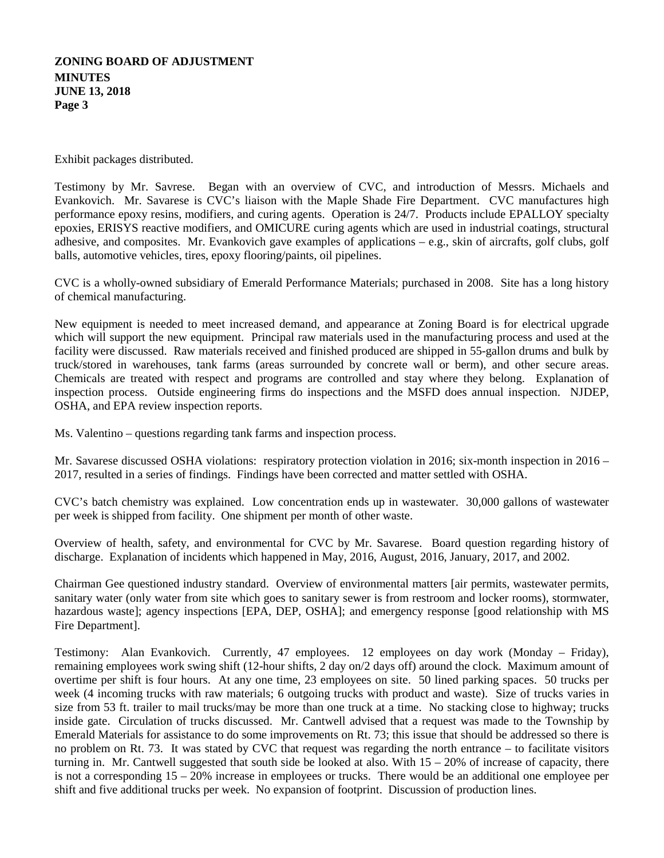Exhibit packages distributed.

Testimony by Mr. Savrese. Began with an overview of CVC, and introduction of Messrs. Michaels and Evankovich. Mr. Savarese is CVC's liaison with the Maple Shade Fire Department. CVC manufactures high performance epoxy resins, modifiers, and curing agents. Operation is 24/7. Products include EPALLOY specialty epoxies, ERISYS reactive modifiers, and OMICURE curing agents which are used in industrial coatings, structural adhesive, and composites. Mr. Evankovich gave examples of applications – e.g., skin of aircrafts, golf clubs, golf balls, automotive vehicles, tires, epoxy flooring/paints, oil pipelines.

CVC is a wholly-owned subsidiary of Emerald Performance Materials; purchased in 2008. Site has a long history of chemical manufacturing.

New equipment is needed to meet increased demand, and appearance at Zoning Board is for electrical upgrade which will support the new equipment. Principal raw materials used in the manufacturing process and used at the facility were discussed. Raw materials received and finished produced are shipped in 55-gallon drums and bulk by truck/stored in warehouses, tank farms (areas surrounded by concrete wall or berm), and other secure areas. Chemicals are treated with respect and programs are controlled and stay where they belong. Explanation of inspection process. Outside engineering firms do inspections and the MSFD does annual inspection. NJDEP, OSHA, and EPA review inspection reports.

Ms. Valentino – questions regarding tank farms and inspection process.

Mr. Savarese discussed OSHA violations: respiratory protection violation in 2016; six-month inspection in 2016 – 2017, resulted in a series of findings. Findings have been corrected and matter settled with OSHA.

CVC's batch chemistry was explained. Low concentration ends up in wastewater. 30,000 gallons of wastewater per week is shipped from facility. One shipment per month of other waste.

Overview of health, safety, and environmental for CVC by Mr. Savarese. Board question regarding history of discharge. Explanation of incidents which happened in May, 2016, August, 2016, January, 2017, and 2002.

Chairman Gee questioned industry standard. Overview of environmental matters [air permits, wastewater permits, sanitary water (only water from site which goes to sanitary sewer is from restroom and locker rooms), stormwater, hazardous waste]; agency inspections [EPA, DEP, OSHA]; and emergency response [good relationship with MS Fire Department].

Testimony: Alan Evankovich. Currently, 47 employees. 12 employees on day work (Monday – Friday), remaining employees work swing shift (12-hour shifts, 2 day on/2 days off) around the clock. Maximum amount of overtime per shift is four hours. At any one time, 23 employees on site. 50 lined parking spaces. 50 trucks per week (4 incoming trucks with raw materials; 6 outgoing trucks with product and waste). Size of trucks varies in size from 53 ft. trailer to mail trucks/may be more than one truck at a time. No stacking close to highway; trucks inside gate. Circulation of trucks discussed. Mr. Cantwell advised that a request was made to the Township by Emerald Materials for assistance to do some improvements on Rt. 73; this issue that should be addressed so there is no problem on Rt. 73. It was stated by CVC that request was regarding the north entrance – to facilitate visitors turning in. Mr. Cantwell suggested that south side be looked at also. With 15 – 20% of increase of capacity, there is not a corresponding 15 – 20% increase in employees or trucks. There would be an additional one employee per shift and five additional trucks per week. No expansion of footprint. Discussion of production lines.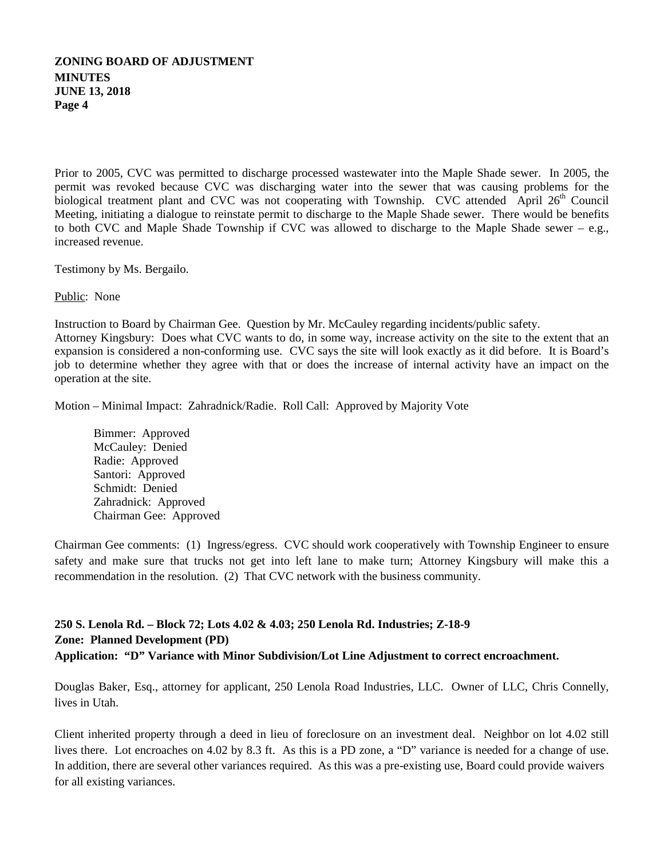Prior to 2005, CVC was permitted to discharge processed wastewater into the Maple Shade sewer. In 2005, the permit was revoked because CVC was discharging water into the sewer that was causing problems for the biological treatment plant and CVC was not cooperating with Township. CVC attended April 26<sup>th</sup> Council Meeting, initiating a dialogue to reinstate permit to discharge to the Maple Shade sewer. There would be benefits to both CVC and Maple Shade Township if CVC was allowed to discharge to the Maple Shade sewer – e.g., increased revenue.

Testimony by Ms. Bergailo.

Public: None

operation at the site.

Instruction to Board by Chairman Gee. Question by Mr. McCauley regarding incidents/public safety. Attorney Kingsbury: Does what CVC wants to do, in some way, increase activity on the site to the extent that an expansion is considered a non-conforming use. CVC says the site will look exactly as it did before. It is Board's job to determine whether they agree with that or does the increase of internal activity have an impact on the

Motion – Minimal Impact: Zahradnick/Radie. Roll Call: Approved by Majority Vote

Bimmer: Approved McCauley: Denied Radie: Approved Santori: Approved Schmidt: Denied Zahradnick: Approved Chairman Gee: Approved

Chairman Gee comments: (1) Ingress/egress. CVC should work cooperatively with Township Engineer to ensure safety and make sure that trucks not get into left lane to make turn; Attorney Kingsbury will make this a recommendation in the resolution. (2) That CVC network with the business community.

## **250 S. Lenola Rd. – Block 72; Lots 4.02 & 4.03; 250 Lenola Rd. Industries; Z-18-9 Zone: Planned Development (PD) Application: "D" Variance with Minor Subdivision/Lot Line Adjustment to correct encroachment.**

Douglas Baker, Esq., attorney for applicant, 250 Lenola Road Industries, LLC. Owner of LLC, Chris Connelly, lives in Utah.

Client inherited property through a deed in lieu of foreclosure on an investment deal. Neighbor on lot 4.02 still lives there. Lot encroaches on 4.02 by 8.3 ft. As this is a PD zone, a "D" variance is needed for a change of use. In addition, there are several other variances required. As this was a pre-existing use, Board could provide waivers for all existing variances.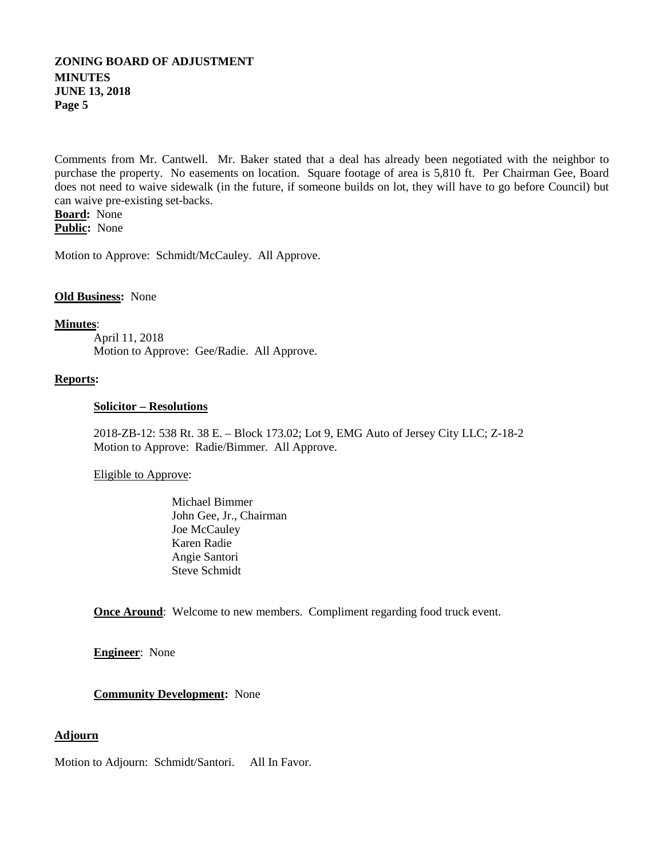Comments from Mr. Cantwell. Mr. Baker stated that a deal has already been negotiated with the neighbor to purchase the property. No easements on location. Square footage of area is 5,810 ft. Per Chairman Gee, Board does not need to waive sidewalk (in the future, if someone builds on lot, they will have to go before Council) but can waive pre-existing set-backs.

**Board:** None **Public:** None

Motion to Approve: Schmidt/McCauley. All Approve.

#### **Old Business:** None

#### **Minutes** :

April 11, 2018 Motion to Approve: Gee/Radie. All Approve.

#### **Reports:**

#### **Solicitor – Resolutions**

2018-ZB-12: 538 Rt. 38 E. – Block 173.02; Lot 9, EMG Auto of Jersey City LLC; Z-18-2 Motion to Approve: Radie/Bimmer. All Approve.

#### Eligible to Approve:

Michael Bimmer John Gee, Jr., Chairman Joe McCauley Karen Radie Angie Santori Steve Schmidt

**Once Around**: Welcome to new members. Compliment regarding food truck event.

**Engineer**: None

#### **Community Development:** None

#### **Adjourn**

Motion to Adjourn: Schmidt/Santori. All In Favor.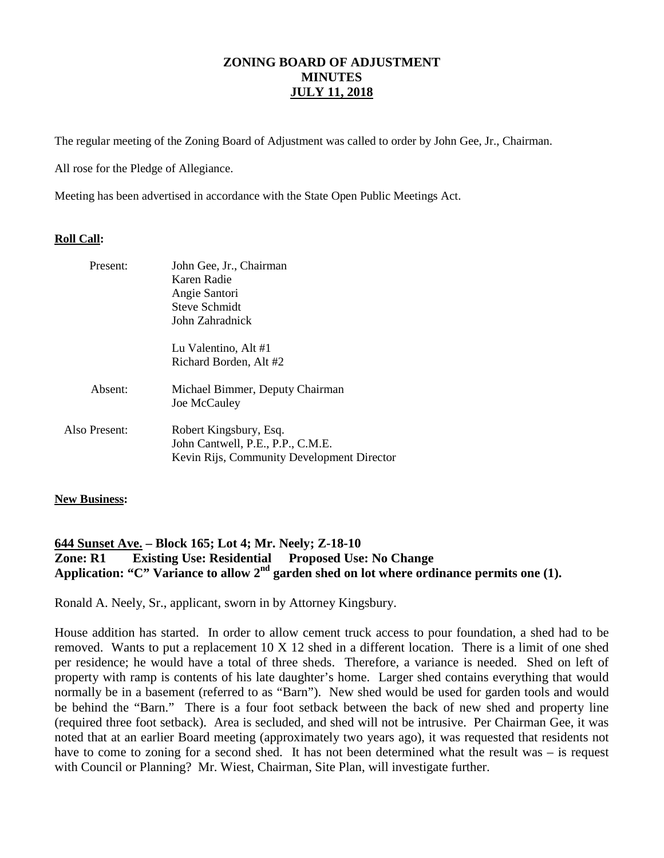The regular meeting of the Zoning Board of Adjustment was called to order by John Gee, Jr., Chairman.

All rose for the Pledge of Allegiance.

Meeting has been advertised in accordance with the State Open Public Meetings Act.

#### **Roll Call:**

| Present:      | John Gee, Jr., Chairman<br>Karen Radie<br>Angie Santori<br><b>Steve Schmidt</b><br>John Zahradnick        |
|---------------|-----------------------------------------------------------------------------------------------------------|
|               | Lu Valentino, Alt #1<br>Richard Borden, Alt #2                                                            |
| Absent:       | Michael Bimmer, Deputy Chairman<br>Joe McCauley                                                           |
| Also Present: | Robert Kingsbury, Esq.<br>John Cantwell, P.E., P.P., C.M.E.<br>Kevin Rijs, Community Development Director |

#### **New Business:**

### **644 Sunset Ave. – Block 165; Lot 4; Mr. Neely; Z-18-10 Zone: R1 Existing Use: Residential Proposed Use: No Change** Application: "C" Variance to allow 2<sup>nd</sup> garden shed on lot where ordinance permits one (1).

Ronald A. Neely, Sr., applicant, sworn in by Attorney Kingsbury.

House addition has started. In order to allow cement truck access to pour foundation, a shed had to be removed. Wants to put a replacement 10 X 12 shed in a different location. There is a limit of one shed per residence; he would have a total of three sheds. Therefore, a variance is needed. Shed on left of property with ramp is contents of his late daughter's home. Larger shed contains everything that would normally be in a basement (referred to as "Barn"). New shed would be used for garden tools and would be behind the "Barn." There is a four foot setback between the back of new shed and property line (required three foot setback). Area is secluded, and shed will not be intrusive. Per Chairman Gee, it was noted that at an earlier Board meeting (approximately two years ago), it was requested that residents not have to come to zoning for a second shed. It has not been determined what the result was – is request with Council or Planning? Mr. Wiest, Chairman, Site Plan, will investigate further.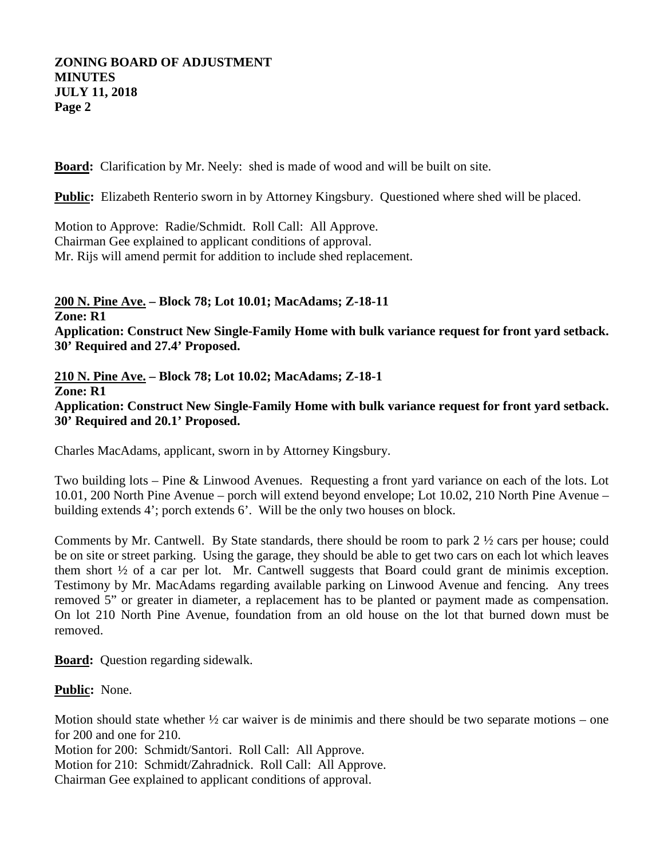**Board:** Clarification by Mr. Neely: shed is made of wood and will be built on site.

**Public:** Elizabeth Renterio sworn in by Attorney Kingsbury. Questioned where shed will be placed.

Motion to Approve: Radie/Schmidt. Roll Call: All Approve. Chairman Gee explained to applicant conditions of approval. Mr. Rijs will amend permit for addition to include shed replacement.

**200 N. Pine Ave. – Block 78; Lot 10.01; MacAdams; Z-18-11 Zone: R1 Application: Construct New Single-Family Home with bulk variance request for front yard setback. 30' Required and 27.4' Proposed.**

**210 N. Pine Ave. – Block 78; Lot 10.02; MacAdams; Z-18-1 Zone: R1 Application: Construct New Single-Family Home with bulk variance request for front yard setback. 30' Required and 20.1' Proposed.**

Charles MacAdams, applicant, sworn in by Attorney Kingsbury.

Two building lots – Pine & Linwood Avenues. Requesting a front yard variance on each of the lots. Lot 10.01, 200 North Pine Avenue – porch will extend beyond envelope; Lot 10.02, 210 North Pine Avenue – building extends 4'; porch extends 6'. Will be the only two houses on block.

Comments by Mr. Cantwell. By State standards, there should be room to park 2 ½ cars per house; could be on site or street parking. Using the garage, they should be able to get two cars on each lot which leaves them short ½ of a car per lot. Mr. Cantwell suggests that Board could grant de minimis exception. Testimony by Mr. MacAdams regarding available parking on Linwood Avenue and fencing. Any trees removed 5" or greater in diameter, a replacement has to be planted or payment made as compensation. On lot 210 North Pine Avenue, foundation from an old house on the lot that burned down must be removed.

**Board:** Question regarding sidewalk.

**Public:** None.

Motion should state whether  $\frac{1}{2}$  car waiver is de minimis and there should be two separate motions – one for 200 and one for 210.

Motion for 200: Schmidt/Santori. Roll Call: All Approve.

Motion for 210: Schmidt/Zahradnick. Roll Call: All Approve.

Chairman Gee explained to applicant conditions of approval.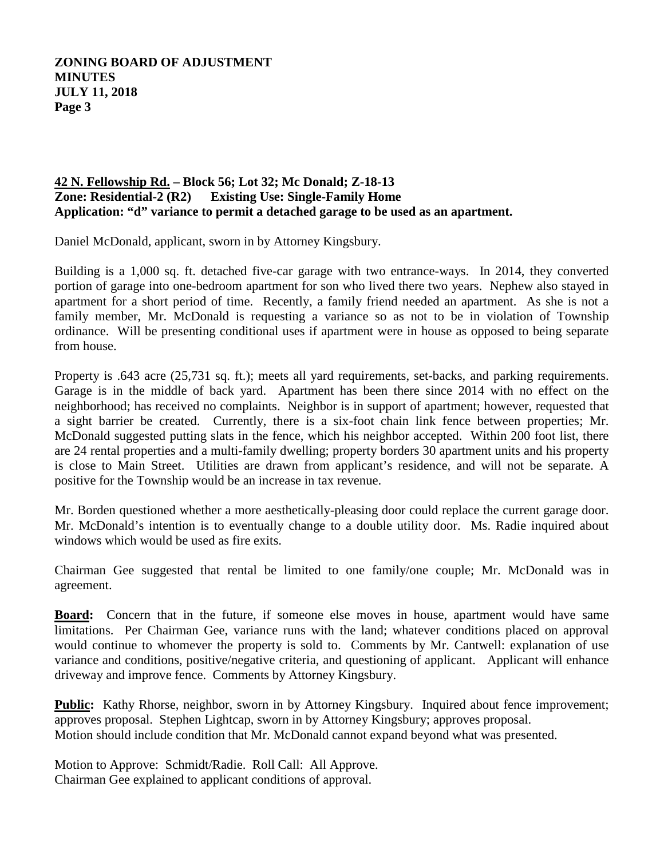## **42 N. Fellowship Rd. – Block 56; Lot 32; Mc Donald; Z-18-13 Zone: Residential-2 (R2) Existing Use: Single-Family Home Application: "d" variance to permit a detached garage to be used as an apartment.**

Daniel McDonald, applicant, sworn in by Attorney Kingsbury.

Building is a 1,000 sq. ft. detached five-car garage with two entrance-ways. In 2014, they converted portion of garage into one-bedroom apartment for son who lived there two years. Nephew also stayed in apartment for a short period of time. Recently, a family friend needed an apartment. As she is not a family member, Mr. McDonald is requesting a variance so as not to be in violation of Township ordinance. Will be presenting conditional uses if apartment were in house as opposed to being separate from house.

Property is .643 acre (25,731 sq. ft.); meets all yard requirements, set-backs, and parking requirements. Garage is in the middle of back yard. Apartment has been there since 2014 with no effect on the neighborhood; has received no complaints. Neighbor is in support of apartment; however, requested that a sight barrier be created. Currently, there is a six-foot chain link fence between properties; Mr. McDonald suggested putting slats in the fence, which his neighbor accepted. Within 200 foot list, there are 24 rental properties and a multi-family dwelling; property borders 30 apartment units and his property is close to Main Street. Utilities are drawn from applicant's residence, and will not be separate. A positive for the Township would be an increase in tax revenue.

Mr. Borden questioned whether a more aesthetically-pleasing door could replace the current garage door. Mr. McDonald's intention is to eventually change to a double utility door. Ms. Radie inquired about windows which would be used as fire exits.

Chairman Gee suggested that rental be limited to one family/one couple; Mr. McDonald was in agreement.

**Board:** Concern that in the future, if someone else moves in house, apartment would have same limitations. Per Chairman Gee, variance runs with the land; whatever conditions placed on approval would continue to whomever the property is sold to. Comments by Mr. Cantwell: explanation of use variance and conditions, positive/negative criteria, and questioning of applicant. Applicant will enhance driveway and improve fence. Comments by Attorney Kingsbury.

Public: Kathy Rhorse, neighbor, sworn in by Attorney Kingsbury. Inquired about fence improvement; Motion should include condition that Mr. McDonald cannot expand beyond what was presented. approves proposal. Stephen Lightcap, sworn in by Attorney Kingsbury; approves proposal.

Motion to Approve: Schmidt/Radie. Roll Call: All Approve. Chairman Gee explained to applicant conditions of approval.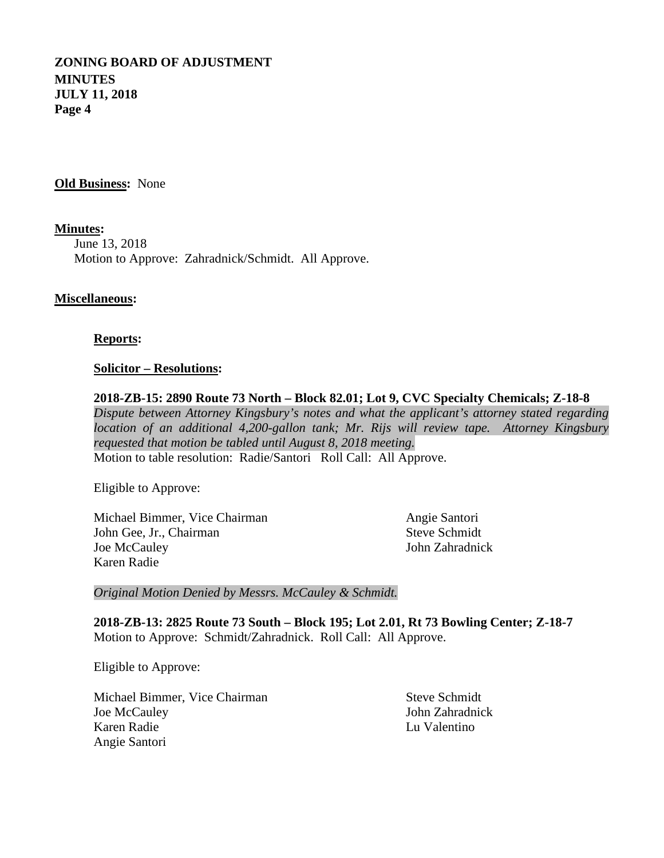**Old Business:** None

**Minutes :** June 13, 2018 Motion to Approve: Zahradnick/Schmidt. All Approve.

#### **Miscellaneous:**

#### **Reports:**

#### **Solicitor – Resolutions:**

**2018-ZB-15: 2890 Route 73 North – Block 82.01; Lot 9, CVC Specialty Chemicals; Z-18-8** *Dispute between Attorney Kingsbury's notes and what the applicant's attorney stated regarding location of an additional 4,200-gallon tank; Mr. Rijs will review tape. Attorney Kingsbury requested that motion be tabled until August 8, 2018 meeting.* Motion to table resolution: Radie/Santori Roll Call: All Approve.

Eligible to Approve:

Michael Bimmer, Vice Chairman Angie Santori<br>
John Gee, Jr., Chairman Steve Schmidt John Gee, Jr., Chairman Joe McCauley John Zahradnick Karen Radie

*Original Motion Denied by Messrs. McCauley & Schmidt.*

**2018-ZB-13: 2825 Route 73 South – Block 195; Lot 2.01, Rt 73 Bowling Center; Z-18-7** Motion to Approve: Schmidt/Zahradnick. Roll Call: All Approve.

Eligible to Approve:

Michael Bimmer, Vice Chairman Steve Schmidt Joe McCauley John Zahradnick Karen Radie Lu Valentino Angie Santori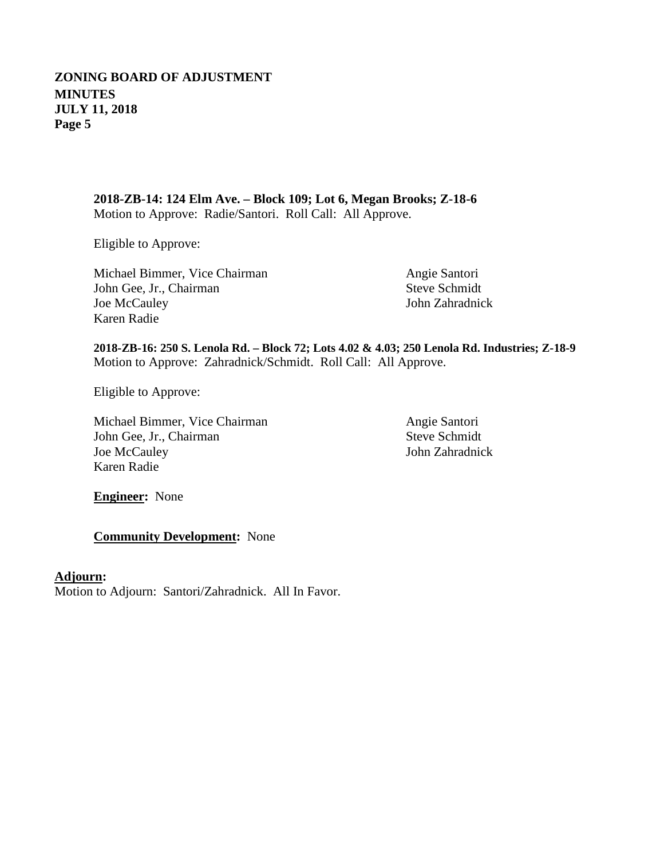**2018-ZB-14: 124 Elm Ave. – Block 109; Lot 6, Megan Brooks; Z-18-6** Motion to Approve: Radie/Santori. Roll Call: All Approve.

Eligible to Approve:

Michael Bimmer, Vice Chairman Angie Santori John Gee, Jr., Chairman Steve Schmidt Joe McCauley John Zahradnick Karen Radie

**2018-ZB-16: 250 S. Lenola Rd. – Block 72; Lots 4.02 & 4.03; 250 Lenola Rd. Industries; Z-18-9** Motion to Approve: Zahradnick/Schmidt. Roll Call: All Approve.

Eligible to Approve:

Michael Bimmer, Vice Chairman Angie Santori<br>
John Gee, Jr., Chairman Steve Schmidt John Gee, Jr., Chairman Joe McCauley John Zahradnick Karen Radie

**Engineer:** None

**Community Development:** None

### **Adjourn :**

Motion to Adjourn: Santori/Zahradnick. All In Favor.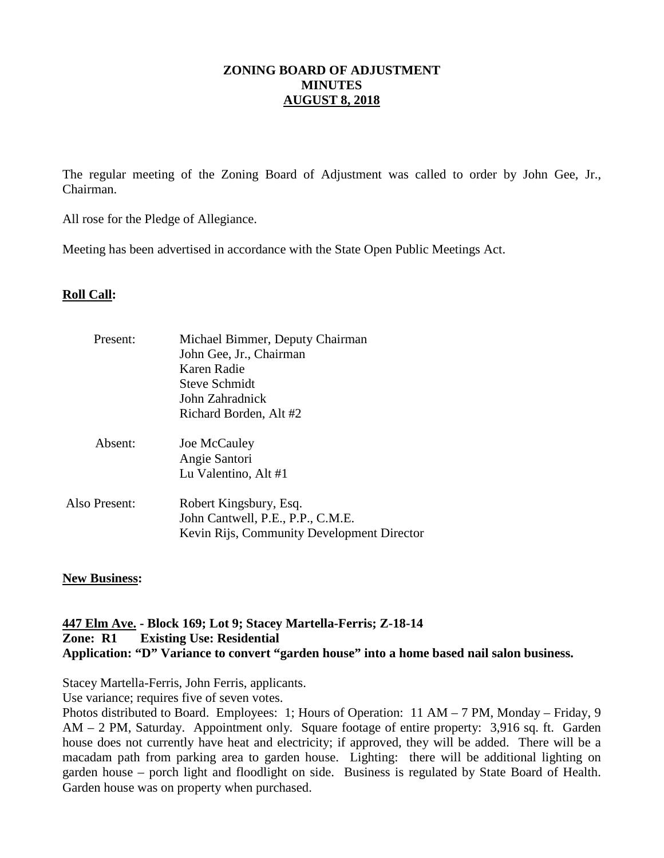### **ZONING BOARD OF ADJUSTMENT MINUTES AUGUST 8, 2018**

The regular meeting of the Zoning Board of Adjustment was called to order by John Gee, Jr., Chairman.

All rose for the Pledge of Allegiance.

Meeting has been advertised in accordance with the State Open Public Meetings Act.

### **Roll Call:**

| Present:      | Michael Bimmer, Deputy Chairman                                                                           |
|---------------|-----------------------------------------------------------------------------------------------------------|
|               | John Gee, Jr., Chairman                                                                                   |
|               | Karen Radie                                                                                               |
|               | Steve Schmidt                                                                                             |
|               | John Zahradnick                                                                                           |
|               | Richard Borden, Alt #2                                                                                    |
| Absent:       | Joe McCauley                                                                                              |
|               | Angie Santori                                                                                             |
|               | Lu Valentino, Alt #1                                                                                      |
| Also Present: | Robert Kingsbury, Esq.<br>John Cantwell, P.E., P.P., C.M.E.<br>Kevin Rijs, Community Development Director |
|               |                                                                                                           |

### **New Business:**

### **447 Elm Ave. - Block 169; Lot 9; Stacey Martella-Ferris; Z-18-14 Zone: R1 Existing Use: Residential Application: "D" Variance to convert "garden house" into a home based nail salon business.**

Stacey Martella-Ferris, John Ferris, applicants.

Use variance; requires five of seven votes.

Photos distributed to Board. Employees: 1; Hours of Operation: 11 AM – 7 PM, Monday – Friday, 9 AM – 2 PM, Saturday. Appointment only. Square footage of entire property: 3,916 sq. ft. Garden house does not currently have heat and electricity; if approved, they will be added. There will be a macadam path from parking area to garden house. Lighting: there will be additional lighting on garden house – porch light and floodlight on side. Business is regulated by State Board of Health. Garden house was on property when purchased.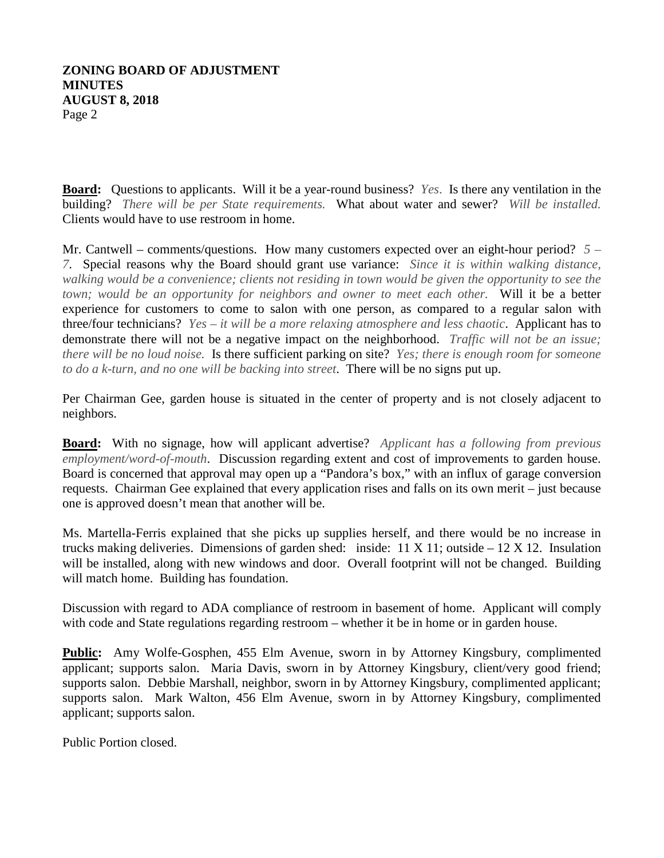#### **ZONING BOARD OF ADJUSTMENT MINUTES AUGUST 8, 2018** Page 2

**Board:** Questions to applicants. Will it be a year-round business? *Yes*. Is there any ventilation in the building? *There will be per State requirements.* What about water and sewer? *Will be installed.*  Clients would have to use restroom in home.

Mr. Cantwell – comments/questions. How many customers expected over an eight-hour period? *5 – 7*. Special reasons why the Board should grant use variance: *Since it is within walking distance, walking would be a convenience; clients not residing in town would be given the opportunity to see the town; would be an opportunity for neighbors and owner to meet each other.* Will it be a better experience for customers to come to salon with one person, as compared to a regular salon with three/four technicians? *Yes – it will be a more relaxing atmosphere and less chaotic*. Applicant has to demonstrate there will not be a negative impact on the neighborhood. *Traffic will not be an issue; there will be no loud noise.* Is there sufficient parking on site? *Yes; there is enough room for someone to do a k-turn, and no one will be backing into street*. There will be no signs put up.

Per Chairman Gee, garden house is situated in the center of property and is not closely adjacent to neighbors.

**Board:** With no signage, how will applicant advertise? *Applicant has a following from previous employment/word-of-mouth*. Discussion regarding extent and cost of improvements to garden house. Board is concerned that approval may open up a "Pandora's box," with an influx of garage conversion requests. Chairman Gee explained that every application rises and falls on its own merit – just because one is approved doesn't mean that another will be.

Ms. Martella-Ferris explained that she picks up supplies herself, and there would be no increase in trucks making deliveries. Dimensions of garden shed: inside:  $11 \text{ X } 11$ ; outside  $-12 \text{ X } 12$ . Insulation will be installed, along with new windows and door. Overall footprint will not be changed. Building will match home. Building has foundation.

Discussion with regard to ADA compliance of restroom in basement of home. Applicant will comply with code and State regulations regarding restroom – whether it be in home or in garden house.

**Public:** Amy Wolfe-Gosphen, 455 Elm Avenue, sworn in by Attorney Kingsbury, complimented applicant; supports salon. Maria Davis, sworn in by Attorney Kingsbury, client/very good friend; supports salon. Debbie Marshall, neighbor, sworn in by Attorney Kingsbury, complimented applicant; supports salon. Mark Walton, 456 Elm Avenue, sworn in by Attorney Kingsbury, complimented applicant; supports salon.

Public Portion closed.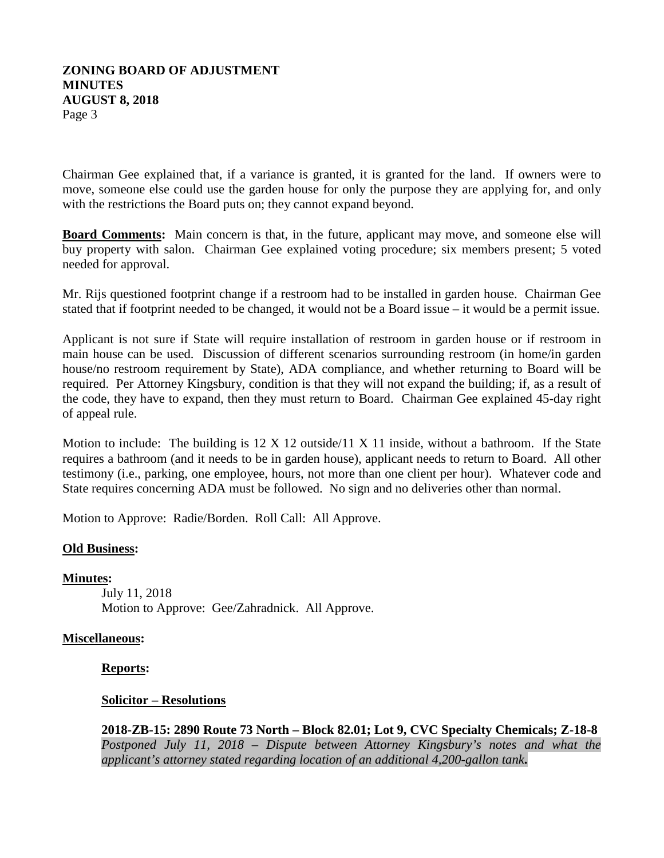#### **ZONING BOARD OF ADJUSTMENT MINUTES AUGUST 8, 2018** Page 3

Chairman Gee explained that, if a variance is granted, it is granted for the land. If owners were to move, someone else could use the garden house for only the purpose they are applying for, and only with the restrictions the Board puts on; they cannot expand beyond.

**Board Comments:** Main concern is that, in the future, applicant may move, and someone else will buy property with salon. Chairman Gee explained voting procedure; six members present; 5 voted needed for approval.

Mr. Rijs questioned footprint change if a restroom had to be installed in garden house. Chairman Gee stated that if footprint needed to be changed, it would not be a Board issue – it would be a permit issue.

Applicant is not sure if State will require installation of restroom in garden house or if restroom in main house can be used. Discussion of different scenarios surrounding restroom (in home/in garden house/no restroom requirement by State), ADA compliance, and whether returning to Board will be required. Per Attorney Kingsbury, condition is that they will not expand the building; if, as a result of the code, they have to expand, then they must return to Board. Chairman Gee explained 45-day right of appeal rule.

Motion to include: The building is  $12 \times 12$  outside/11 X 11 inside, without a bathroom. If the State requires a bathroom (and it needs to be in garden house), applicant needs to return to Board. All other testimony (i.e., parking, one employee, hours, not more than one client per hour). Whatever code and State requires concerning ADA must be followed. No sign and no deliveries other than normal.

Motion to Approve: Radie/Borden. Roll Call: All Approve.

### **Old Business:**

**Minutes :**

July 11, 2018 Motion to Approve: Gee/Zahradnick. All Approve.

### **Miscellaneous:**

### **Reports:**

### **Solicitor – Resolutions**

**2018-ZB-15: 2890 Route 73 North – Block 82.01; Lot 9, CVC Specialty Chemicals; Z-18-8** *Postponed July 11, 2018 – Dispute between Attorney Kingsbury's notes and what the applicant's attorney stated regarding location of an additional 4,200-gallon tank***.**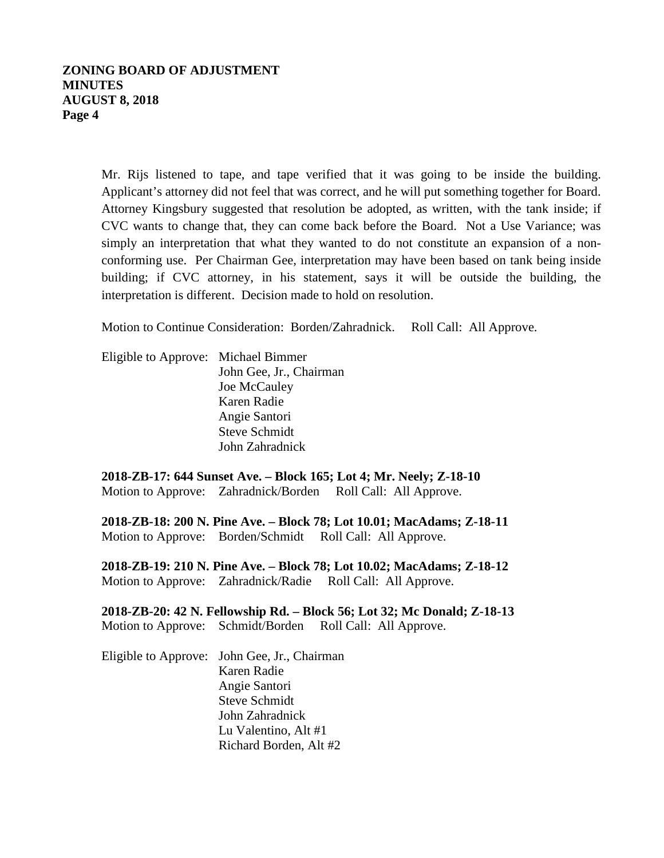### **ZONING BOARD OF ADJUSTMENT MINUTES AUGUST 8, 2018 Page 4**

Mr. Rijs listened to tape, and tape verified that it was going to be inside the building. Applicant's attorney did not feel that was correct, and he will put something together for Board. Attorney Kingsbury suggested that resolution be adopted, as written, with the tank inside; if CVC wants to change that, they can come back before the Board. Not a Use Variance; was simply an interpretation that what they wanted to do not constitute an expansion of a nonconforming use. Per Chairman Gee, interpretation may have been based on tank being inside building; if CVC attorney, in his statement, says it will be outside the building, the interpretation is different. Decision made to hold on resolution.

Motion to Continue Consideration: Borden/Zahradnick. Roll Call: All Approve.

| Eligible to Approve: Michael Bimmer |                         |
|-------------------------------------|-------------------------|
|                                     | John Gee, Jr., Chairman |
|                                     | Joe McCauley            |
|                                     | Karen Radie             |
|                                     | Angie Santori           |
|                                     | <b>Steve Schmidt</b>    |
|                                     | John Zahradnick         |
|                                     |                         |

**2018-ZB-17: 644 Sunset Ave. – Block 165; Lot 4; Mr. Neely; Z-18-10** Motion to Approve: Zahradnick/Borden Roll Call: All Approve.

**2018-ZB-18: 200 N. Pine Ave. – Block 78; Lot 10.01; MacAdams; Z-18-11** Motion to Approve: Borden/Schmidt Roll Call: All Approve.

**2018-ZB-19: 210 N. Pine Ave. – Block 78; Lot 10.02; MacAdams; Z-18-12** Motion to Approve: Zahradnick/Radie Roll Call: All Approve.

**2018-ZB-20: 42 N. Fellowship Rd. – Block 56; Lot 32; Mc Donald; Z-18-13** Motion to Approve: Schmidt/Borden Roll Call: All Approve.

Eligible to Approve: John Gee, Jr., Chairman Karen Radie Angie Santori Steve Schmidt John Zahradnick Lu Valentino, Alt #1 Richard Borden, Alt #2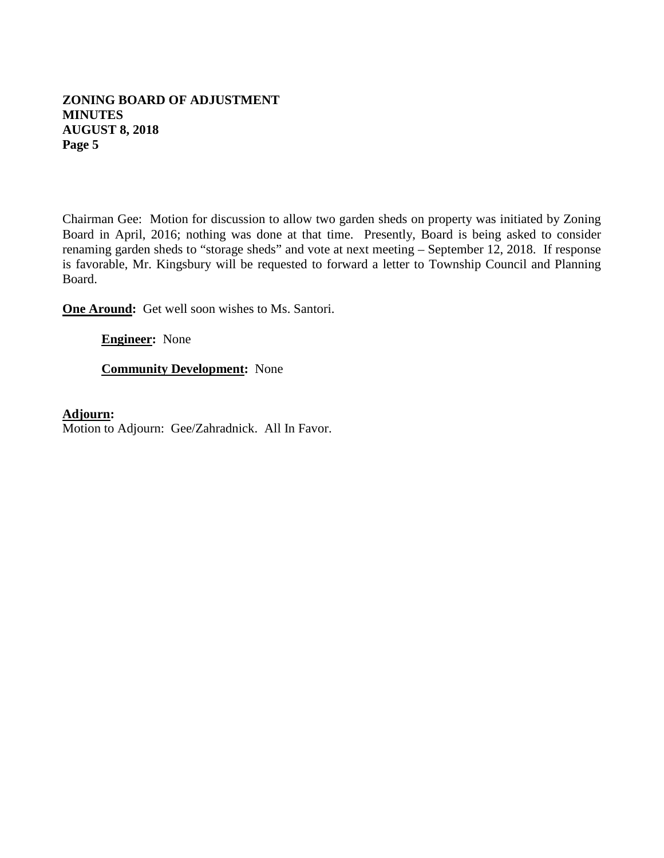## **ZONING BOARD OF ADJUSTMENT MINUTES AUGUST 8, 2018 Page 5**

Chairman Gee: Motion for discussion to allow two garden sheds on property was initiated by Zoning Board in April, 2016; nothing was done at that time. Presently, Board is being asked to consider renaming garden sheds to "storage sheds" and vote at next meeting – September 12, 2018. If response is favorable, Mr. Kingsbury will be requested to forward a letter to Township Council and Planning Board.

**One Around:** Get well soon wishes to Ms. Santori.

**Engineer:** None

**Community Development:** None

**Adjourn :**Motion to Adjourn: Gee/Zahradnick. All In Favor.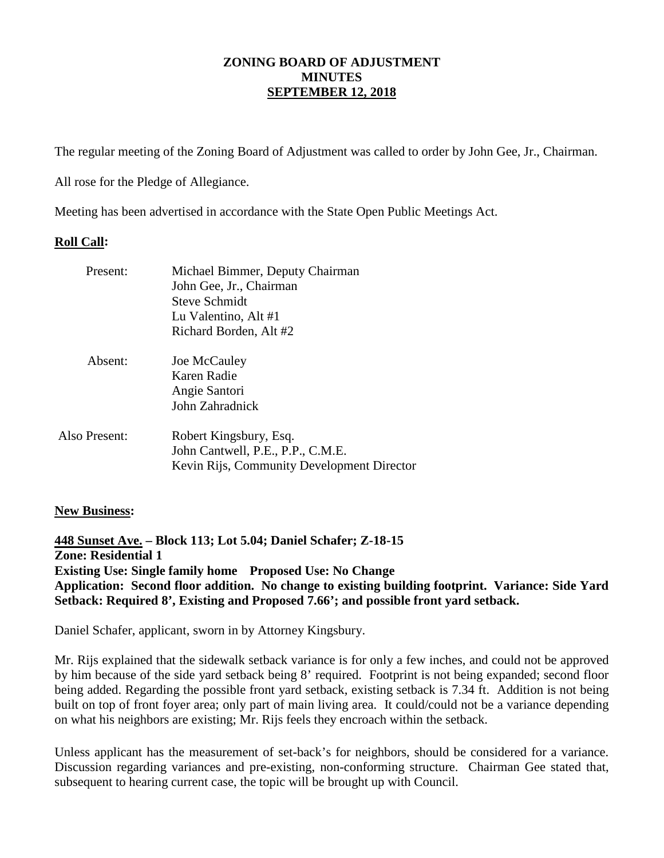The regular meeting of the Zoning Board of Adjustment was called to order by John Gee, Jr., Chairman.

All rose for the Pledge of Allegiance.

Meeting has been advertised in accordance with the State Open Public Meetings Act.

### **Roll Call:**

| Present:      | Michael Bimmer, Deputy Chairman<br>John Gee, Jr., Chairman<br>Steve Schmidt<br>Lu Valentino, Alt #1<br>Richard Borden, Alt #2 |
|---------------|-------------------------------------------------------------------------------------------------------------------------------|
| Absent:       | Joe McCauley<br>Karen Radie<br>Angie Santori<br>John Zahradnick                                                               |
| Also Present: | Robert Kingsbury, Esq.<br>John Cantwell, P.E., P.P., C.M.E.<br>Kevin Rijs, Community Development Director                     |

## **New Business:**

**448 Sunset Ave. – Block 113; Lot 5.04; Daniel Schafer; Z-18-15 Zone: Residential 1 Existing Use: Single family home Proposed Use: No Change Application: Second floor addition. No change to existing building footprint. Variance: Side Yard Setback: Required 8', Existing and Proposed 7.66'; and possible front yard setback.** 

Daniel Schafer, applicant, sworn in by Attorney Kingsbury.

Mr. Rijs explained that the sidewalk setback variance is for only a few inches, and could not be approved by him because of the side yard setback being 8' required. Footprint is not being expanded; second floor being added. Regarding the possible front yard setback, existing setback is 7.34 ft. Addition is not being built on top of front foyer area; only part of main living area. It could/could not be a variance depending on what his neighbors are existing; Mr. Rijs feels they encroach within the setback.

Unless applicant has the measurement of set-back's for neighbors, should be considered for a variance. Discussion regarding variances and pre-existing, non-conforming structure. Chairman Gee stated that, subsequent to hearing current case, the topic will be brought up with Council.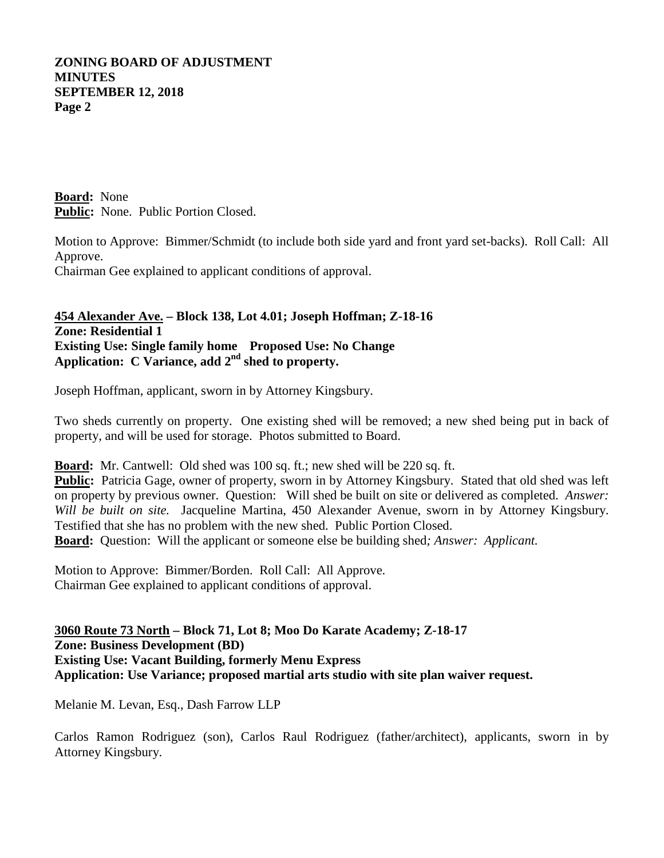**Board:** None **Public:** None. Public Portion Closed.

Motion to Approve: Bimmer/Schmidt (to include both side yard and front yard set-backs). Roll Call: All Approve.

Chairman Gee explained to applicant conditions of approval.

**454 Alexander Ave. – Block 138, Lot 4.01; Joseph Hoffman; Z-18-16 Zone: Residential 1 Existing Use: Single family home Proposed Use: No Change Application: C Variance, add 2nd shed to property.**

Joseph Hoffman, applicant, sworn in by Attorney Kingsbury.

Two sheds currently on property. One existing shed will be removed; a new shed being put in back of property, and will be used for storage. Photos submitted to Board.

**Board:** Mr. Cantwell: Old shed was 100 sq. ft.; new shed will be 220 sq. ft.

**Public:** Patricia Gage, owner of property, sworn in by Attorney Kingsbury. Stated that old shed was left on property by previous owner. Question: Will shed be built on site or delivered as completed. *Answer: Will be built on site.* Jacqueline Martina, 450 Alexander Avenue, sworn in by Attorney Kingsbury. Testified that she has no problem with the new shed. Public Portion Closed. **Board:** Question: Will the applicant or someone else be building shed*; Answer: Applicant.*

Motion to Approve: Bimmer/Borden. Roll Call: All Approve. Chairman Gee explained to applicant conditions of approval.

**3060 Route 73 North – Block 71, Lot 8; Moo Do Karate Academy; Z-18-17 Zone: Business Development (BD) Existing Use: Vacant Building, formerly Menu Express Application: Use Variance; proposed martial arts studio with site plan waiver request.** 

Melanie M. Levan, Esq., Dash Farrow LLP

Carlos Ramon Rodriguez (son), Carlos Raul Rodriguez (father/architect), applicants, sworn in by Attorney Kingsbury.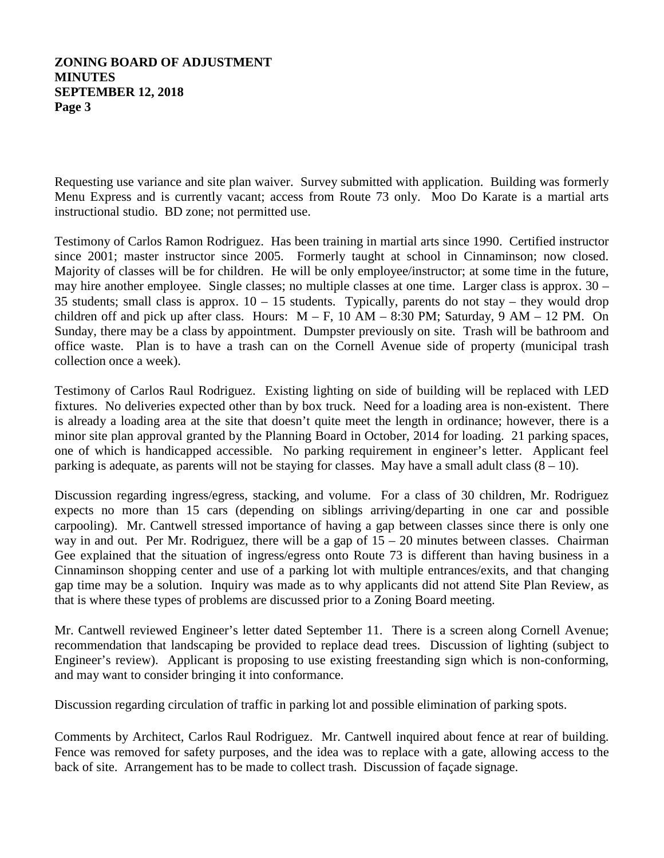Requesting use variance and site plan waiver. Survey submitted with application. Building was formerly Menu Express and is currently vacant; access from Route 73 only. Moo Do Karate is a martial arts instructional studio. BD zone; not permitted use.

Testimony of Carlos Ramon Rodriguez. Has been training in martial arts since 1990. Certified instructor since 2001; master instructor since 2005. Formerly taught at school in Cinnaminson; now closed. Majority of classes will be for children. He will be only employee/instructor; at some time in the future, may hire another employee. Single classes; no multiple classes at one time. Larger class is approx. 30 – 35 students; small class is approx.  $10 - 15$  students. Typically, parents do not stay – they would drop children off and pick up after class. Hours:  $M - F$ , 10 AM – 8:30 PM; Saturday, 9 AM – 12 PM. On Sunday, there may be a class by appointment. Dumpster previously on site. Trash will be bathroom and office waste. Plan is to have a trash can on the Cornell Avenue side of property (municipal trash collection once a week).

Testimony of Carlos Raul Rodriguez. Existing lighting on side of building will be replaced with LED fixtures. No deliveries expected other than by box truck. Need for a loading area is non-existent. There is already a loading area at the site that doesn't quite meet the length in ordinance; however, there is a minor site plan approval granted by the Planning Board in October, 2014 for loading. 21 parking spaces, one of which is handicapped accessible. No parking requirement in engineer's letter. Applicant feel parking is adequate, as parents will not be staying for classes. May have a small adult class  $(8 - 10)$ .

Discussion regarding ingress/egress, stacking, and volume. For a class of 30 children, Mr. Rodriguez expects no more than 15 cars (depending on siblings arriving/departing in one car and possible carpooling). Mr. Cantwell stressed importance of having a gap between classes since there is only one way in and out. Per Mr. Rodriguez, there will be a gap of  $15 - 20$  minutes between classes. Chairman Gee explained that the situation of ingress/egress onto Route 73 is different than having business in a Cinnaminson shopping center and use of a parking lot with multiple entrances/exits, and that changing gap time may be a solution. Inquiry was made as to why applicants did not attend Site Plan Review, as that is where these types of problems are discussed prior to a Zoning Board meeting.

Mr. Cantwell reviewed Engineer's letter dated September 11. There is a screen along Cornell Avenue; recommendation that landscaping be provided to replace dead trees. Discussion of lighting (subject to Engineer's review). Applicant is proposing to use existing freestanding sign which is non-conforming, and may want to consider bringing it into conformance.

Discussion regarding circulation of traffic in parking lot and possible elimination of parking spots.

Comments by Architect, Carlos Raul Rodriguez. Mr. Cantwell inquired about fence at rear of building. Fence was removed for safety purposes, and the idea was to replace with a gate, allowing access to the back of site. Arrangement has to be made to collect trash. Discussion of façade signage.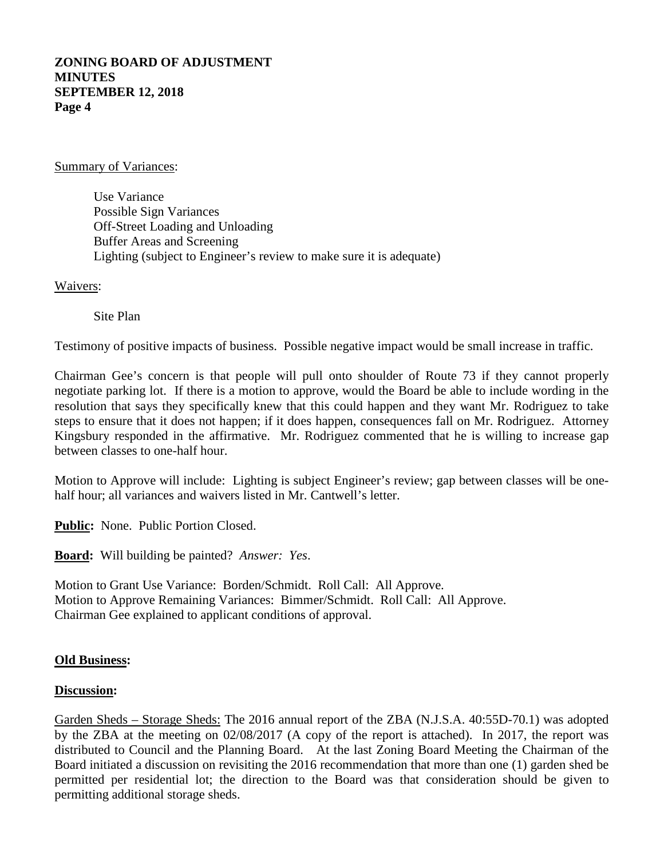#### Summary of Variances:

Use Variance Possible Sign Variances Off-Street Loading and Unloading Buffer Areas and Screening Lighting (subject to Engineer's review to make sure it is adequate)

#### Waivers:

Site Plan

Testimony of positive impacts of business. Possible negative impact would be small increase in traffic.

Chairman Gee's concern is that people will pull onto shoulder of Route 73 if they cannot properly negotiate parking lot. If there is a motion to approve, would the Board be able to include wording in the resolution that says they specifically knew that this could happen and they want Mr. Rodriguez to take steps to ensure that it does not happen; if it does happen, consequences fall on Mr. Rodriguez. Attorney Kingsbury responded in the affirmative. Mr. Rodriguez commented that he is willing to increase gap between classes to one-half hour.

Motion to Approve will include: Lighting is subject Engineer's review; gap between classes will be onehalf hour; all variances and waivers listed in Mr. Cantwell's letter.

**Public:** None. Public Portion Closed.

**Board:** Will building be painted? *Answer: Yes*.

Motion to Grant Use Variance: Borden/Schmidt. Roll Call: All Approve. Motion to Approve Remaining Variances: Bimmer/Schmidt. Roll Call: All Approve. Chairman Gee explained to applicant conditions of approval.

#### **Old Business:**

#### **Discussion:**

Garden Sheds – Storage Sheds: The 2016 annual report of the ZBA (N.J.S.A. 40:55D-70.1) was adopted by the ZBA at the meeting on 02/08/2017 (A copy of the report is attached). In 2017, the report was distributed to Council and the Planning Board. At the last Zoning Board Meeting the Chairman of the Board initiated a discussion on revisiting the 2016 recommendation that more than one (1) garden shed be permitted per residential lot; the direction to the Board was that consideration should be given to permitting additional storage sheds.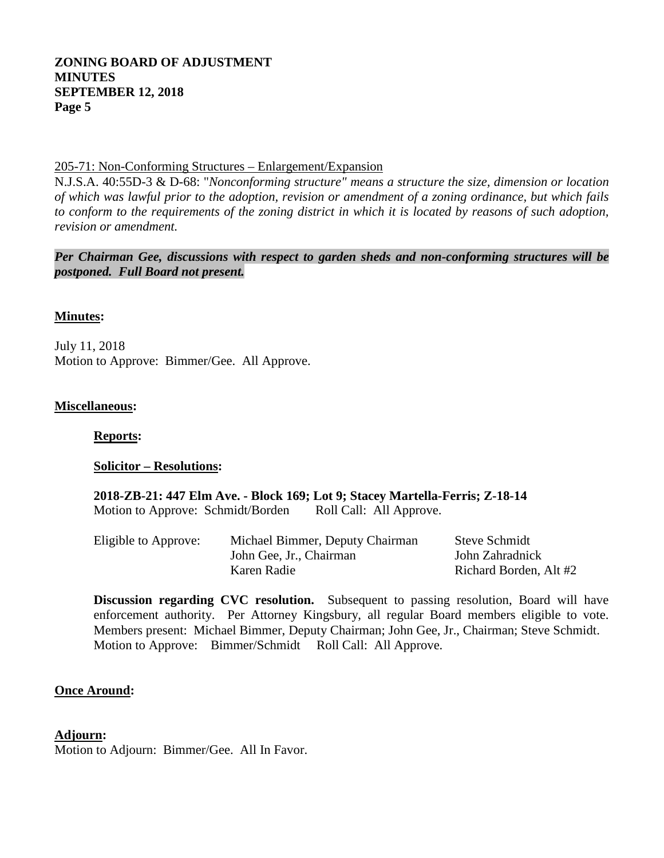### 205-71: Non-Conforming Structures – Enlargement/Expansion

N.J.S.A. 40:55D-3 & D-68: "*Nonconforming structure" means a structure the size, dimension or location of which was lawful prior to the adoption, revision or amendment of a zoning ordinance, but which fails to conform to the requirements of the zoning district in which it is located by reasons of such adoption, revision or amendment.*

*Per Chairman Gee, discussions with respect to garden sheds and non-conforming structures will be postponed. Full Board not present.* 

#### **Minutes:**

July 11, 2018 Motion to Approve: Bimmer/Gee. All Approve.

#### **Miscellaneous:**

**Reports:**

#### **Solicitor – Resolutions:**

**2018-ZB-21: 447 Elm Ave. - Block 169; Lot 9; Stacey Martella-Ferris; Z-18-14** Motion to Approve: Schmidt/Borden Roll Call: All Approve.

| Eligible to Approve: | Michael Bimmer, Deputy Chairman | <b>Steve Schmidt</b>   |
|----------------------|---------------------------------|------------------------|
|                      | John Gee, Jr., Chairman         | John Zahradnick        |
|                      | Karen Radie                     | Richard Borden, Alt #2 |

**Discussion regarding CVC resolution.** Subsequent to passing resolution, Board will have enforcement authority. Per Attorney Kingsbury, all regular Board members eligible to vote. Members present: Michael Bimmer, Deputy Chairman; John Gee, Jr., Chairman; Steve Schmidt. Motion to Approve: Bimmer/Schmidt Roll Call: All Approve.

### **Once Around:**

#### **Adjourn :**

Motion to Adjourn: Bimmer/Gee. All In Favor.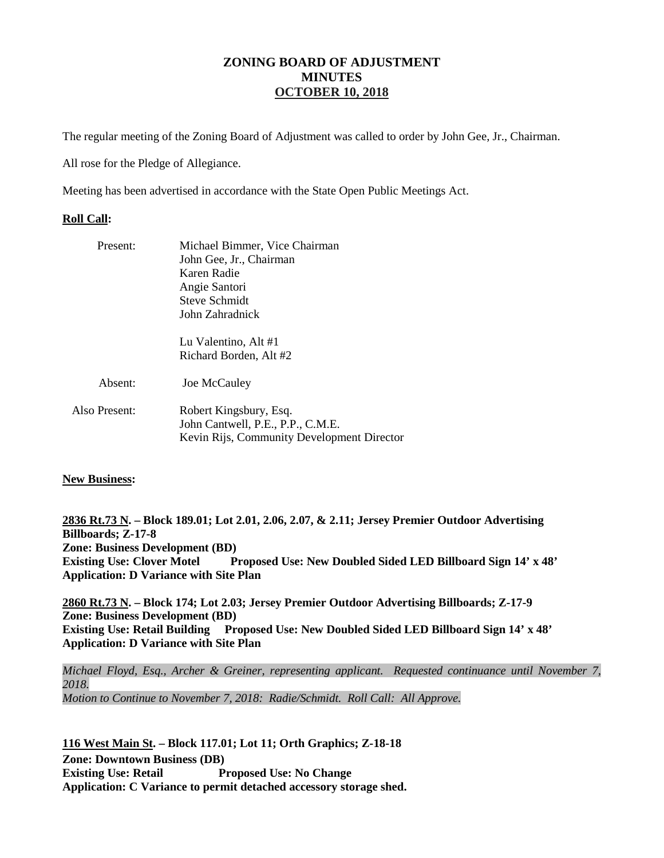### **ZONING BOARD OF ADJUSTMENT MINUTES OCTOBER 10, 2018**

The regular meeting of the Zoning Board of Adjustment was called to order by John Gee, Jr., Chairman.

All rose for the Pledge of Allegiance.

Meeting has been advertised in accordance with the State Open Public Meetings Act.

#### **Roll Call:**

| Present:      | Michael Bimmer, Vice Chairman<br>John Gee, Jr., Chairman<br>Karen Radie<br>Angie Santori<br><b>Steve Schmidt</b><br>John Zahradnick |  |
|---------------|-------------------------------------------------------------------------------------------------------------------------------------|--|
|               | Lu Valentino, Alt #1<br>Richard Borden, Alt #2                                                                                      |  |
| Absent:       | Joe McCauley                                                                                                                        |  |
| Also Present: | Robert Kingsbury, Esq.<br>John Cantwell, P.E., P.P., C.M.E.<br>Kevin Rijs, Community Development Director                           |  |

#### **New Business:**

**2836 Rt.73 N . – Block 189.01; Lot 2.01, 2.06, 2.07, & 2.11; Jersey Premier Outdoor Advertising Zone: Business Development (BD) Billboards; Z-17-8 Existing Use: Clover Motel Proposed Use: New Doubled Sided LED Billboard Sign 14' x 48' Application: D Variance with Site Plan** 

**2860 Rt.73 N . – Block 174; Lot 2.03; Jersey Premier Outdoor Advertising Billboards; Z-17-9 Zone: Business Development (BD) Existing Use: Retail Building Proposed Use: New Doubled Sided LED Billboard Sign 14' x 48' Application: D Variance with Site Plan** 

*Michael Floyd, Esq., Archer & Greiner, representing applicant. Requested continuance until November 7, 2018. Motion to Continue to November 7, 2018: Radie/Schmidt. Roll Call: All Approve.*

**116 West Main St . – Block 117.01; Lot 11; Orth Graphics; Z-18-18 Zone: Downtown Business (DB) Existing Use: Retail Proposed Use: No Change Application: C Variance to permit detached accessory storage shed.**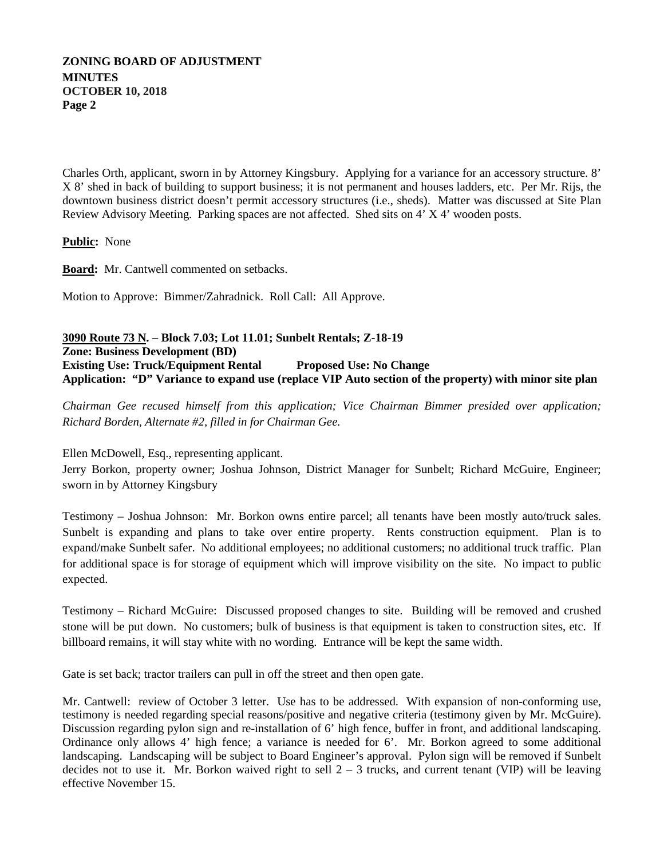Charles Orth, applicant, sworn in by Attorney Kingsbury. Applying for a variance for an accessory structure. 8' X 8' shed in back of building to support business; it is not permanent and houses ladders, etc. Per Mr. Rijs, the downtown business district doesn't permit accessory structures (i.e., sheds). Matter was discussed at Site Plan Review Advisory Meeting. Parking spaces are not affected. Shed sits on 4' X 4' wooden posts.

**Public:** None

**Board:** Mr. Cantwell commented on setbacks.

Motion to Approve: Bimmer/Zahradnick. Roll Call: All Approve.

#### **3090 Route 73 N . – Block 7.03; Lot 11.01; Sunbelt Rentals; Z-18-19 Zone: Business Development (BD) Existing Use: Truck/Equipment Rental Proposed Use: No Change Application: "D" Variance to expand use (replace VIP Auto section of the property) with minor site plan**

*Chairman Gee recused himself from this application; Vice Chairman Bimmer presided over application; Richard Borden, Alternate #2, filled in for Chairman Gee.* 

Ellen McDowell, Esq., representing applicant.

Jerry Borkon, property owner; Joshua Johnson, District Manager for Sunbelt; Richard McGuire, Engineer; sworn in by Attorney Kingsbury

Testimony – Joshua Johnson: Mr. Borkon owns entire parcel; all tenants have been mostly auto/truck sales. Sunbelt is expanding and plans to take over entire property. Rents construction equipment. Plan is to expand/make Sunbelt safer. No additional employees; no additional customers; no additional truck traffic. Plan for additional space is for storage of equipment which will improve visibility on the site. No impact to public expected.

Testimony – Richard McGuire: Discussed proposed changes to site. Building will be removed and crushed stone will be put down. No customers; bulk of business is that equipment is taken to construction sites, etc. If billboard remains, it will stay white with no wording. Entrance will be kept the same width.

Gate is set back; tractor trailers can pull in off the street and then open gate.

Mr. Cantwell: review of October 3 letter. Use has to be addressed. With expansion of non-conforming use, testimony is needed regarding special reasons/positive and negative criteria (testimony given by Mr. McGuire). Discussion regarding pylon sign and re-installation of 6' high fence, buffer in front, and additional landscaping. Ordinance only allows 4' high fence; a variance is needed for 6'. Mr. Borkon agreed to some additional landscaping. Landscaping will be subject to Board Engineer's approval. Pylon sign will be removed if Sunbelt decides not to use it. Mr. Borkon waived right to sell  $2 - 3$  trucks, and current tenant (VIP) will be leaving effective November 15.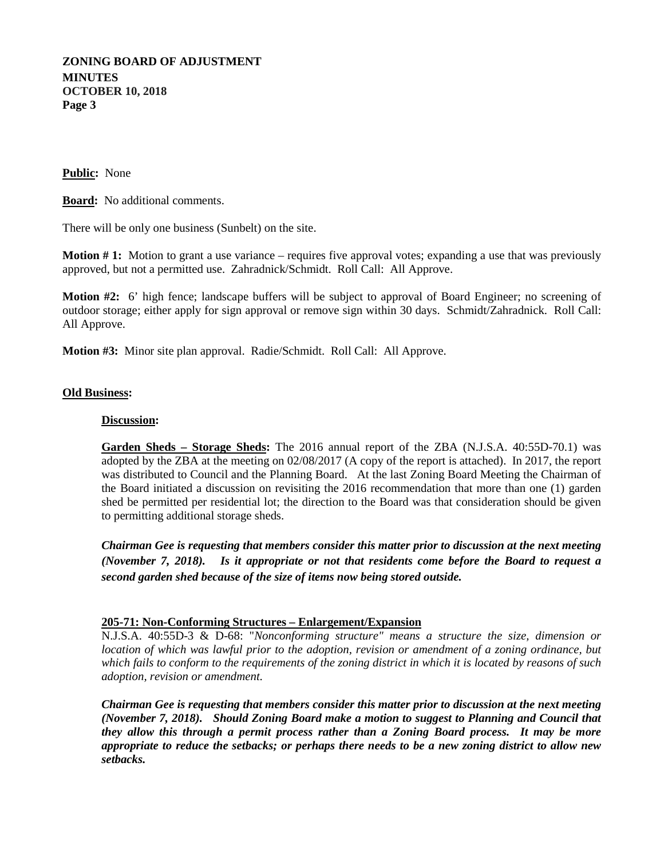#### **Public:** None

**Board:** No additional comments.

There will be only one business (Sunbelt) on the site.

**Motion # 1:** Motion to grant a use variance – requires five approval votes; expanding a use that was previously approved, but not a permitted use. Zahradnick/Schmidt. Roll Call: All Approve.

**Motion #2:** 6' high fence; landscape buffers will be subject to approval of Board Engineer; no screening of outdoor storage; either apply for sign approval or remove sign within 30 days. Schmidt/Zahradnick. Roll Call: All Approve.

**Motion #3:** Minor site plan approval. Radie/Schmidt. Roll Call: All Approve.

#### **Old Business:**

#### **Discussion:**

**Garden Sheds – Storage Sheds:** The 2016 annual report of the ZBA (N.J.S.A. 40:55D-70.1) was adopted by the ZBA at the meeting on 02/08/2017 (A copy of the report is attached). In 2017, the report was distributed to Council and the Planning Board. At the last Zoning Board Meeting the Chairman of the Board initiated a discussion on revisiting the 2016 recommendation that more than one (1) garden shed be permitted per residential lot; the direction to the Board was that consideration should be given to permitting additional storage sheds.

*Chairman Gee is requesting that members consider this matter prior to discussion at the next meeting (November 7, 2018). Is it appropriate or not that residents come before the Board to request a second garden shed because of the size of items now being stored outside.* 

#### **205-71: Non-Conforming Structures – Enlargement/Expansion**

N.J.S.A. 40:55D-3 & D-68: "*Nonconforming structure" means a structure the size, dimension or location of which was lawful prior to the adoption, revision or amendment of a zoning ordinance, but which fails to conform to the requirements of the zoning district in which it is located by reasons of such adoption, revision or amendment.*

*Chairman Gee is requesting that members consider this matter prior to discussion at the next meeting (November 7, 2018). Should Zoning Board make a motion to suggest to Planning and Council that they allow this through a permit process rather than a Zoning Board process. It may be more appropriate to reduce the setbacks; or perhaps there needs to be a new zoning district to allow new setbacks.*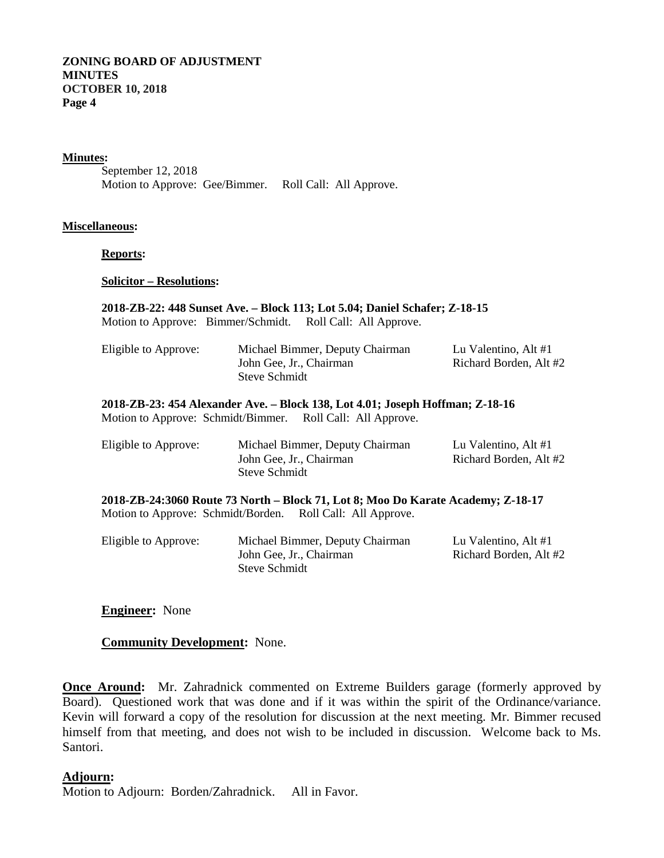#### **Minutes :**

September 12, 2018 Motion to Approve: Gee/Bimmer. Roll Call: All Approve.

#### **Miscellaneous:**

**Reports:**

**Solicitor – Resolutions:**

# **2018-ZB-22: 448 Sunset Ave. – Block 113; Lot 5.04; Daniel Schafer; Z-18-15** Motion to Approve: Bimmer/Schmidt. Roll Call: All Approve. Eligible to Approve: Michael Bimmer, Deputy Chairman Lu Valentino, Alt #1 John Gee, Jr., Chairman Richard Borden, Alt #2 Steve Schmidt **2018-ZB-23: 454 Alexander Ave. – Block 138, Lot 4.01; Joseph Hoffman; Z-18-16** Motion to Approve: Schmidt/Bimmer. Roll Call: All Approve. Eligible to Approve: Michael Bimmer, Deputy Chairman Lu Valentino, Alt #1 John Gee, Jr., Chairman Richard Borden, Alt #2 Steve Schmidt **2018-ZB-24:3060 Route 73 North – Block 71, Lot 8; Moo Do Karate Academy; Z-18-17** Motion to Approve: Schmidt/Borden. Roll Call: All Approve.

| Eligible to Approve: | Michael Bimmer, Deputy Chairman | Lu Valentino, Alt #1   |
|----------------------|---------------------------------|------------------------|
|                      | John Gee, Jr., Chairman         | Richard Borden, Alt #2 |
|                      | Steve Schmidt                   |                        |

### **Engineer:** None

### **Community Development:** None.

**Once Around:** Mr. Zahradnick commented on Extreme Builders garage (formerly approved by Board). Questioned work that was done and if it was within the spirit of the Ordinance/variance. Kevin will forward a copy of the resolution for discussion at the next meeting. Mr. Bimmer recused himself from that meeting, and does not wish to be included in discussion. Welcome back to Ms. Santori.

#### **Adjourn :**

Motion to Adjourn: Borden/Zahradnick. All in Favor.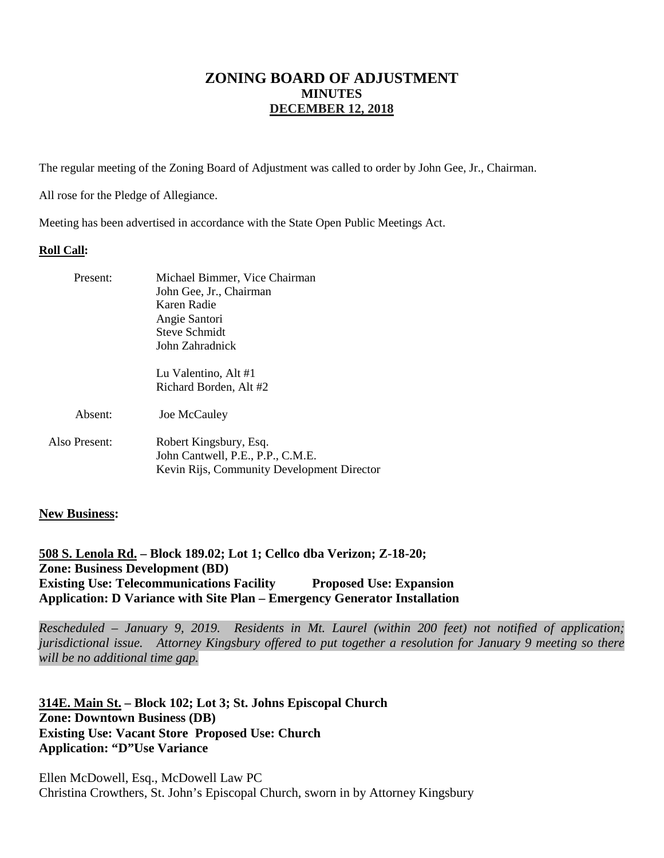# **ZONING BOARD OF ADJUSTMENT MINUTES DECEMBER 12, 2018**

The regular meeting of the Zoning Board of Adjustment was called to order by John Gee, Jr., Chairman.

All rose for the Pledge of Allegiance.

Meeting has been advertised in accordance with the State Open Public Meetings Act.

#### **Roll Call:**

| Present:      | Michael Bimmer, Vice Chairman<br>John Gee, Jr., Chairman<br>Karen Radie<br>Angie Santori<br><b>Steve Schmidt</b><br>John Zahradnick |  |
|---------------|-------------------------------------------------------------------------------------------------------------------------------------|--|
|               | Lu Valentino, Alt #1                                                                                                                |  |
|               | Richard Borden, Alt #2                                                                                                              |  |
| Absent:       | Joe McCauley                                                                                                                        |  |
| Also Present: | Robert Kingsbury, Esq.                                                                                                              |  |
|               | John Cantwell, P.E., P.P., C.M.E.                                                                                                   |  |
|               | Kevin Rijs, Community Development Director                                                                                          |  |

#### **New Business:**

**508 S. Lenola Rd. – Block 189.02; Lot 1; Cellco dba Verizon; Z-18-20; Zone: Business Development (BD) Existing Use: Telecommunications Facility Proposed Use: Expansion Application: D Variance with Site Plan – Emergency Generator Installation**

*Rescheduled – January 9, 2019. Residents in Mt. Laurel (within 200 feet) not notified of application; jurisdictional issue. Attorney Kingsbury offered to put together a resolution for January 9 meeting so there will be no additional time gap.* 

**314E. Main St. – Block 102; Lot 3; St. Johns Episcopal Church Zone: Downtown Business (DB) Existing Use: Vacant Store Proposed Use: Church Application: "D"Use Variance**

Ellen McDowell, Esq., McDowell Law PC Christina Crowthers, St. John's Episcopal Church, sworn in by Attorney Kingsbury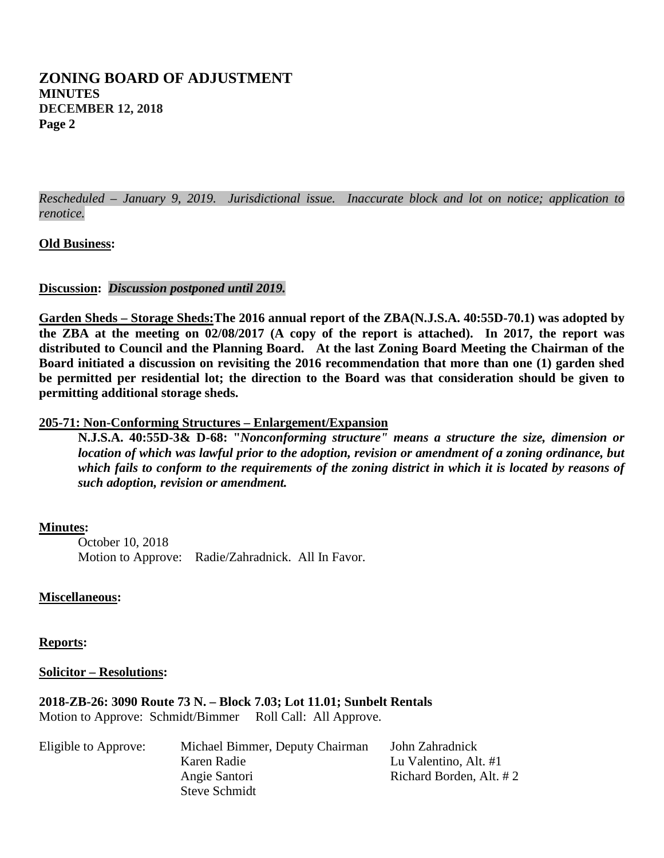*Rescheduled – January 9, 2019. Jurisdictional issue. Inaccurate block and lot on notice; application to renotice.* 

### **Old Business:**

#### **Discussion:** *Discussion postponed until 2019.*

**Garden Sheds – Storage Sheds:The 2016 annual report of the ZBA(N.J.S.A. 40:55D-70.1) was adopted by the ZBA at the meeting on 02/08/2017 (A copy of the report is attached). In 2017, the report was distributed to Council and the Planning Board. At the last Zoning Board Meeting the Chairman of the Board initiated a discussion on revisiting the 2016 recommendation that more than one (1) garden shed be permitted per residential lot; the direction to the Board was that consideration should be given to permitting additional storage sheds.**

#### **205-71: Non-Conforming Structures – Enlargement/Expansion**

**N.J.S.A. 40:55D-3& D-68: "***Nonconforming structure" means a structure the size, dimension or location of which was lawful prior to the adoption, revision or amendment of a zoning ordinance, but which fails to conform to the requirements of the zoning district in which it is located by reasons of such adoption, revision or amendment.*

#### **Minutes :**

October 10, 2018 Motion to Approve: Radie/Zahradnick. All In Favor.

#### **Miscellaneous:**

**Reports:**

**Solicitor – Resolutions:**

**2018-ZB-26: 3090 Route 73 N. – Block 7.03; Lot 11.01; Sunbelt Rentals** Motion to Approve: Schmidt/Bimmer Roll Call: All Approve.

| Michael Bimmer, Deputy Chairman | John Zahradnick         |
|---------------------------------|-------------------------|
| Karen Radie                     | Lu Valentino, Alt. #1   |
| Angie Santori                   | Richard Borden, Alt. #2 |
| Steve Schmidt                   |                         |
|                                 |                         |